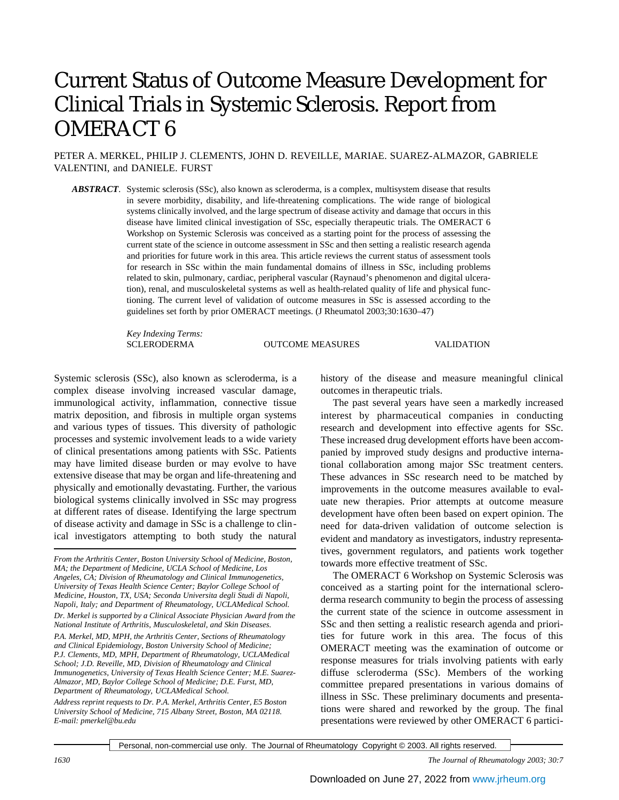# Current Status of Outcome Measure Development for Clinical Trials in Systemic Sclerosis. Report from OMERACT 6

PETER A. MERKEL, PHILIP J. CLEMENTS, JOHN D. REVEILLE, MARIAE. SUAREZ-ALMAZOR, GABRIELE VALENTINI, and DANIELE. FURST

*ABSTRACT*. Systemic sclerosis (SSc), also known as scleroderma, is a complex, multisystem disease that results in severe morbidity, disability, and life-threatening complications. The wide range of biological systems clinically involved, and the large spectrum of disease activity and damage that occurs in this disease have limited clinical investigation of SSc, especially therapeutic trials. The OMERACT 6 Workshop on Systemic Sclerosis was conceived as a starting point for the process of assessing the current state of the science in outcome assessment in SSc and then setting a realistic research agenda and priorities for future work in this area. This article reviews the current status of assessment tools for research in SSc within the main fundamental domains of illness in SSc, including problems related to skin, pulmonary, cardiac, peripheral vascular (Raynaud's phenomenon and digital ulceration), renal, and musculoskeletal systems as well as health-related quality of life and physical functioning. The current level of validation of outcome measures in SSc is assessed according to the guidelines set forth by prior OMERACT meetings. (J Rheumatol 2003;30:1630–47)

*Key Indexing Terms:*

SCLERODERMA OUTCOME MEASURES VALIDATION

Systemic sclerosis (SSc), also known as scleroderma, is a complex disease involving increased vascular damage, immunological activity, inflammation, connective tissue matrix deposition, and fibrosis in multiple organ systems and various types of tissues. This diversity of pathologic processes and systemic involvement leads to a wide variety of clinical presentations among patients with SSc. Patients may have limited disease burden or may evolve to have extensive disease that may be organ and life-threatening and physically and emotionally devastating. Further, the various biological systems clinically involved in SSc may progress at different rates of disease. Identifying the large spectrum of disease activity and damage in SSc is a challenge to clinical investigators attempting to both study the natural

*From the Arthritis Center, Boston University School of Medicine, Boston, MA; the Department of Medicine, UCLA School of Medicine, Los Angeles, CA; Division of Rheumatology and Clinical Immunogenetics, University of Texas Health Science Center; Baylor College School of Medicine, Houston, TX, USA; Seconda Universita degli Studi di Napoli, Napoli, Italy; and Department of Rheumatology, UCLAMedical School. Dr. Merkel is supported by a Clinical Associate Physician Award from the National Institute of Arthritis, Musculoskeletal, and Skin Diseases.*

*P.A. Merkel, MD, MPH, the Arthritis Center, Sections of Rheumatology and Clinical Epidemiology, Boston University School of Medicine; P.J. Clements, MD, MPH, Department of Rheumatology, UCLAMedical School; J.D. Reveille, MD, Division of Rheumatology and Clinical Immunogenetics, University of Texas Health Science Center; M.E. Suarez-Almazor, MD, Baylor College School of Medicine; D.E. Furst, MD, Department of Rheumatology, UCLAMedical School.*

*Address reprint requests to Dr. P.A. Merkel, Arthritis Center, E5 Boston University School of Medicine, 715 Albany Street, Boston, MA 02118. E-mail: pmerkel@bu.edu*

history of the disease and measure meaningful clinical outcomes in therapeutic trials.

The past several years have seen a markedly increased interest by pharmaceutical companies in conducting research and development into effective agents for SSc. These increased drug development efforts have been accompanied by improved study designs and productive international collaboration among major SSc treatment centers. These advances in SSc research need to be matched by improvements in the outcome measures available to evaluate new therapies. Prior attempts at outcome measure development have often been based on expert opinion. The need for data-driven validation of outcome selection is evident and mandatory as investigators, industry representatives, government regulators, and patients work together towards more effective treatment of SSc.

The OMERACT 6 Workshop on Systemic Sclerosis was conceived as a starting point for the international scleroderma research community to begin the process of assessing the current state of the science in outcome assessment in SSc and then setting a realistic research agenda and priorities for future work in this area. The focus of this OMERACT meeting was the examination of outcome or response measures for trials involving patients with early diffuse scleroderma (SSc). Members of the working committee prepared presentations in various domains of illness in SSc. These preliminary documents and presentations were shared and reworked by the group. The final presentations were reviewed by other OMERACT 6 partici-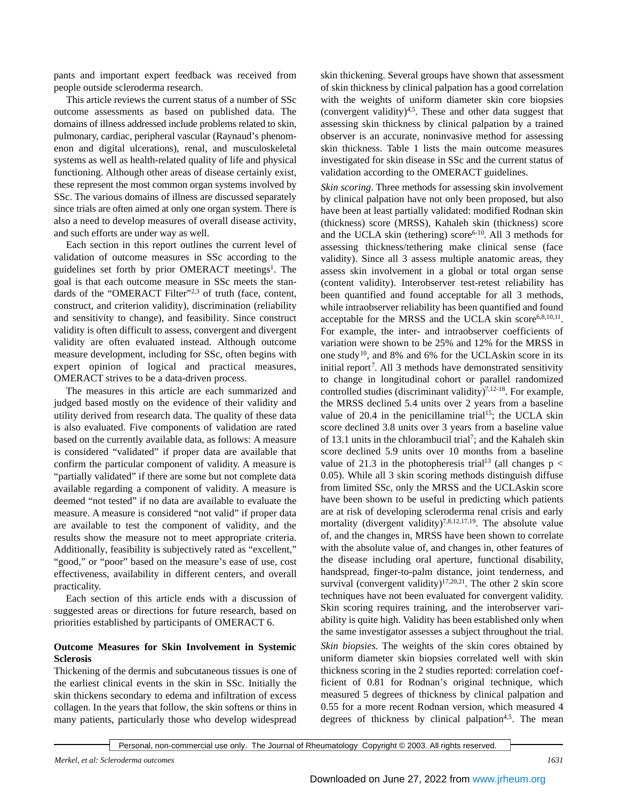pants and important expert feedback was received from people outside scleroderma research.

This article reviews the current status of a number of SSc outcome assessments as based on published data. The domains of illness addressed include problems related to skin, pulmonary, cardiac, peripheral vascular (Raynaud's phenomenon and digital ulcerations), renal, and musculoskeletal systems as well as health-related quality of life and physical functioning. Although other areas of disease certainly exist, these represent the most common organ systems involved by SSc. The various domains of illness are discussed separately since trials are often aimed at only one organ system. There is also a need to develop measures of overall disease activity, and such efforts are under way as well.

Each section in this report outlines the current level of validation of outcome measures in SSc according to the guidelines set forth by prior OMERACT meetings<sup>1</sup>. The goal is that each outcome measure in SSc meets the standards of the "OMERACT Filter"<sup>2,3</sup> of truth (face, content, construct, and criterion validity), discrimination (reliability and sensitivity to change), and feasibility. Since construct validity is often difficult to assess, convergent and divergent validity are often evaluated instead. Although outcome measure development, including for SSc, often begins with expert opinion of logical and practical measures, OMERACT strives to be a data-driven process.

The measures in this article are each summarized and judged based mostly on the evidence of their validity and utility derived from research data. The quality of these data is also evaluated. Five components of validation are rated based on the currently available data, as follows: A measure is considered "validated" if proper data are available that confirm the particular component of validity. A measure is "partially validated" if there are some but not complete data available regarding a component of validity. A measure is deemed "not tested" if no data are available to evaluate the measure. A measure is considered "not valid" if proper data are available to test the component of validity, and the results show the measure not to meet appropriate criteria. Additionally, feasibility is subjectively rated as "excellent," "good," or "poor" based on the measure's ease of use, cost effectiveness, availability in different centers, and overall practicality.

Each section of this article ends with a discussion of suggested areas or directions for future research, based on priorities established by participants of OMERACT 6.

#### **Outcome Measures for Skin Involvement in Systemic Sclerosis**

Thickening of the dermis and subcutaneous tissues is one of the earliest clinical events in the skin in SSc. Initially the skin thickens secondary to edema and infiltration of excess collagen. In the years that follow, the skin softens or thins in many patients, particularly those who develop widespread skin thickening. Several groups have shown that assessment of skin thickness by clinical palpation has a good correlation with the weights of uniform diameter skin core biopsies (convergent validity) $4.5$ . These and other data suggest that assessing skin thickness by clinical palpation by a trained observer is an accurate, noninvasive method for assessing skin thickness. Table 1 lists the main outcome measures investigated for skin disease in SSc and the current status of validation according to the OMERACT guidelines.

*Skin scoring*. Three methods for assessing skin involvement by clinical palpation have not only been proposed, but also have been at least partially validated: modified Rodnan skin (thickness) score (MRSS), Kahaleh skin (thickness) score and the UCLA skin (tethering) score<sup>6-10</sup>. All 3 methods for assessing thickness/tethering make clinical sense (face validity). Since all 3 assess multiple anatomic areas, they assess skin involvement in a global or total organ sense (content validity). Interobserver test-retest reliability has been quantified and found acceptable for all 3 methods, while intraobserver reliability has been quantified and found acceptable for the MRSS and the UCLA skin score<sup>6,8,10,11</sup>. For example, the inter- and intraobserver coefficients of variation were shown to be 25% and 12% for the MRSS in one study<sup>10</sup>, and 8% and 6% for the UCLAskin score in its initial report<sup>7</sup>. All 3 methods have demonstrated sensitivity to change in longitudinal cohort or parallel randomized controlled studies (discriminant validity)<sup>7,12-18</sup>. For example, the MRSS declined 5.4 units over 2 years from a baseline value of  $20.4$  in the penicillamine trial<sup>15</sup>; the UCLA skin score declined 3.8 units over 3 years from a baseline value of 13.1 units in the chlorambucil trial<sup>7</sup>; and the Kahaleh skin score declined 5.9 units over 10 months from a baseline value of 21.3 in the photopheresis trial<sup>13</sup> (all changes  $p <$ 0.05). While all 3 skin scoring methods distinguish diffuse from limited SSc, only the MRSS and the UCLAskin score have been shown to be useful in predicting which patients are at risk of developing scleroderma renal crisis and early mortality (divergent validity)<sup>7,8,12,17,19</sup>. The absolute value of, and the changes in, MRSS have been shown to correlate with the absolute value of, and changes in, other features of the disease including oral aperture, functional disability, handspread, finger-to-palm distance, joint tenderness, and survival (convergent validity) $17,20,21$ . The other 2 skin score techniques have not been evaluated for convergent validity. Skin scoring requires training, and the interobserver variability is quite high. Validity has been established only when the same investigator assesses a subject throughout the trial. *Skin biopsies.* The weights of the skin cores obtained by uniform diameter skin biopsies correlated well with skin thickness scoring in the 2 studies reported: correlation coefficient of 0.81 for Rodnan's original technique, which measured 5 degrees of thickness by clinical palpation and 0.55 for a more recent Rodnan version, which measured 4 degrees of thickness by clinical palpation<sup>4,5</sup>. The mean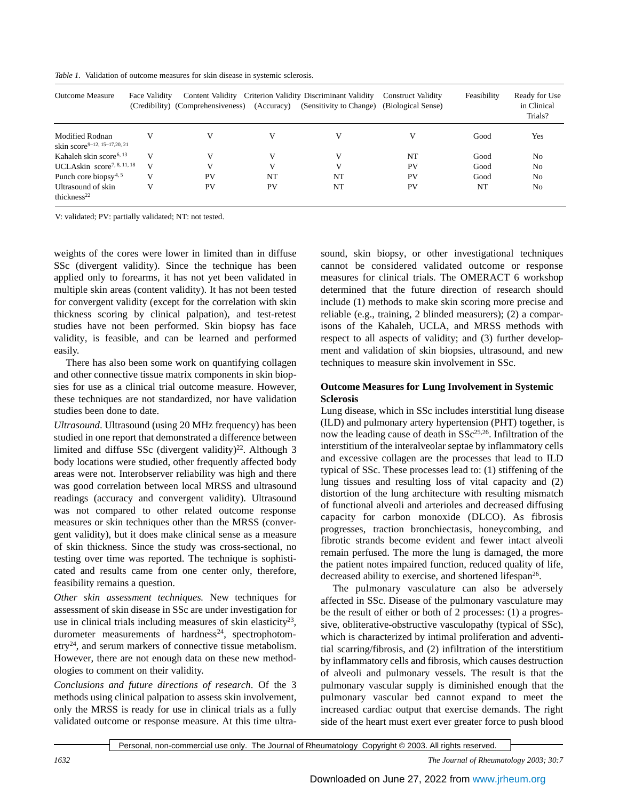| Table 1. Validation of outcome measures for skin disease in systemic sclerosis. |  |  |  |  |
|---------------------------------------------------------------------------------|--|--|--|--|
|                                                                                 |  |  |  |  |

| <b>Outcome Measure</b>                                              | Face Validity |    |           | Content Validity Criterion Validity Discriminant Validity<br>(Credibility) (Comprehensiveness) (Accuracy) (Sensitivity to Change) (Biological Sense) | <b>Construct Validity</b> | Feasibility | Ready for Use<br>in Clinical<br>Trials? |
|---------------------------------------------------------------------|---------------|----|-----------|------------------------------------------------------------------------------------------------------------------------------------------------------|---------------------------|-------------|-----------------------------------------|
| Modified Rodnan                                                     |               |    |           |                                                                                                                                                      | V                         | Good        | Yes                                     |
| skin score9-12, 15-17,20, 21<br>Kahaleh skin score <sup>6, 13</sup> | V             |    | V         | V                                                                                                                                                    | NT                        | Good        | N <sub>0</sub>                          |
| UCLAskin score <sup>7, 8, 11, 18</sup>                              | V             |    | V         |                                                                                                                                                      | PV                        | Good        | N <sub>0</sub>                          |
| Punch core biopsy <sup>4, 5</sup>                                   | V             | PV | <b>NT</b> | <b>NT</b>                                                                                                                                            | PV                        | Good        | N <sub>0</sub>                          |
| Ultrasound of skin<br>thickness <sup>22</sup>                       | v             | PV | PV        | <b>NT</b>                                                                                                                                            | PV                        | NT          | N <sub>0</sub>                          |

V: validated; PV: partially validated; NT: not tested.

weights of the cores were lower in limited than in diffuse SSc (divergent validity). Since the technique has been applied only to forearms, it has not yet been validated in multiple skin areas (content validity). It has not been tested for convergent validity (except for the correlation with skin thickness scoring by clinical palpation), and test-retest studies have not been performed. Skin biopsy has face validity, is feasible, and can be learned and performed easily.

There has also been some work on quantifying collagen and other connective tissue matrix components in skin biopsies for use as a clinical trial outcome measure. However, these techniques are not standardized, nor have validation studies been done to date.

*Ultrasound*. Ultrasound (using 20 MHz frequency) has been studied in one report that demonstrated a difference between limited and diffuse SSc (divergent validity)<sup>22</sup>. Although 3 body locations were studied, other frequently affected body areas were not. Interobserver reliability was high and there was good correlation between local MRSS and ultrasound readings (accuracy and convergent validity). Ultrasound was not compared to other related outcome response measures or skin techniques other than the MRSS (convergent validity), but it does make clinical sense as a measure of skin thickness. Since the study was cross-sectional, no testing over time was reported. The technique is sophisticated and results came from one center only, therefore, feasibility remains a question.

*Other skin assessment techniques.* New techniques for assessment of skin disease in SSc are under investigation for use in clinical trials including measures of skin elasticity<sup>23</sup>, durometer measurements of hardness<sup>24</sup>, spectrophotometry<sup>24</sup>, and serum markers of connective tissue metabolism. However, there are not enough data on these new methodologies to comment on their validity.

*Conclusions and future directions of research*. Of the 3 methods using clinical palpation to assess skin involvement, only the MRSS is ready for use in clinical trials as a fully validated outcome or response measure. At this time ultra-

sound, skin biopsy, or other investigational techniques cannot be considered validated outcome or response measures for clinical trials. The OMERACT 6 workshop determined that the future direction of research should include (1) methods to make skin scoring more precise and reliable (e.g., training, 2 blinded measurers); (2) a comparisons of the Kahaleh, UCLA, and MRSS methods with respect to all aspects of validity; and (3) further development and validation of skin biopsies, ultrasound, and new techniques to measure skin involvement in SSc.

# **Outcome Measures for Lung Involvement in Systemic Sclerosis**

Lung disease, which in SSc includes interstitial lung disease (ILD) and pulmonary artery hypertension (PHT) together, is now the leading cause of death in SSc<sup>25,26</sup>. Infiltration of the interstitium of the interalveolar septae by inflammatory cells and excessive collagen are the processes that lead to ILD typical of SSc. These processes lead to: (1) stiffening of the lung tissues and resulting loss of vital capacity and (2) distortion of the lung architecture with resulting mismatch of functional alveoli and arterioles and decreased diffusing capacity for carbon monoxide (DLCO). As fibrosis progresses, traction bronchiectasis, honeycombing, and fibrotic strands become evident and fewer intact alveoli remain perfused. The more the lung is damaged, the more the patient notes impaired function, reduced quality of life, decreased ability to exercise, and shortened lifespan<sup>26</sup>.

The pulmonary vasculature can also be adversely affected in SSc. Disease of the pulmonary vasculature may be the result of either or both of 2 processes: (1) a progressive, obliterative-obstructive vasculopathy (typical of SSc), which is characterized by intimal proliferation and adventitial scarring/fibrosis, and (2) infiltration of the interstitium by inflammatory cells and fibrosis, which causes destruction of alveoli and pulmonary vessels. The result is that the pulmonary vascular supply is diminished enough that the pulmonary vascular bed cannot expand to meet the increased cardiac output that exercise demands. The right side of the heart must exert ever greater force to push blood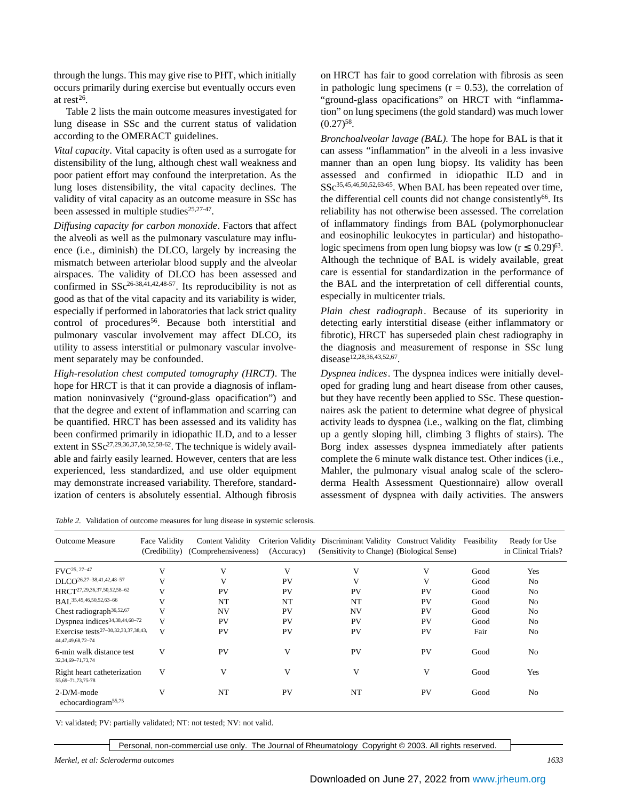through the lungs. This may give rise to PHT, which initially occurs primarily during exercise but eventually occurs even at rest $^{26}$ .

Table 2 lists the main outcome measures investigated for lung disease in SSc and the current status of validation according to the OMERACT guidelines.

*Vital capacity*. Vital capacity is often used as a surrogate for distensibility of the lung, although chest wall weakness and poor patient effort may confound the interpretation. As the lung loses distensibility, the vital capacity declines. The validity of vital capacity as an outcome measure in SSc has been assessed in multiple studies<sup>25,27-47</sup>.

*Diffusing capacity for carbon monoxide*. Factors that affect the alveoli as well as the pulmonary vasculature may influence (i.e., diminish) the DLCO, largely by increasing the mismatch between arteriolar blood supply and the alveolar airspaces. The validity of DLCO has been assessed and confirmed in  $SSc^{26-38,41,42,48-57}$ . Its reproducibility is not as good as that of the vital capacity and its variability is wider, especially if performed in laboratories that lack strict quality control of procedures<sup>56</sup>. Because both interstitial and pulmonary vascular involvement may affect DLCO, its utility to assess interstitial or pulmonary vascular involvement separately may be confounded.

*High-resolution chest computed tomography (HRCT)*. The hope for HRCT is that it can provide a diagnosis of inflammation noninvasively ("ground-glass opacification") and that the degree and extent of inflammation and scarring can be quantified. HRCT has been assessed and its validity has been confirmed primarily in idiopathic ILD, and to a lesser extent in SSc<sup>27,29,36,37,50,52,58-62</sup>. The technique is widely available and fairly easily learned. However, centers that are less experienced, less standardized, and use older equipment may demonstrate increased variability. Therefore, standardization of centers is absolutely essential. Although fibrosis on HRCT has fair to good correlation with fibrosis as seen in pathologic lung specimens ( $r = 0.53$ ), the correlation of "ground-glass opacifications" on HRCT with "inflammation" on lung specimens (the gold standard) was much lower  $(0.27)^{58}$ .

*Bronchoalveolar lavage (BAL).* The hope for BAL is that it can assess "inflammation" in the alveoli in a less invasive manner than an open lung biopsy. Its validity has been assessed and confirmed in idiopathic ILD and in SSc<sup>35,45,46,50,52,63-65</sup>. When BAL has been repeated over time, the differential cell counts did not change consistently<sup>66</sup>. Its reliability has not otherwise been assessed. The correlation of inflammatory findings from BAL (polymorphonuclear and eosinophilic leukocytes in particular) and histopathologic specimens from open lung biopsy was low  $(r \ 0.29)^{63}$ . Although the technique of BAL is widely available, great care is essential for standardization in the performance of the BAL and the interpretation of cell differential counts, especially in multicenter trials.

*Plain chest radiograph*. Because of its superiority in detecting early interstitial disease (either inflammatory or fibrotic), HRCT has superseded plain chest radiography in the diagnosis and measurement of response in SSc lung disease<sup>12,28,36,43,52,67</sup>.

*Dyspnea indices*. The dyspnea indices were initially developed for grading lung and heart disease from other causes, but they have recently been applied to SSc. These questionnaires ask the patient to determine what degree of physical activity leads to dyspnea (i.e., walking on the flat, climbing up a gently sloping hill, climbing 3 flights of stairs). The Borg index assesses dyspnea immediately after patients complete the 6 minute walk distance test. Other indices (i.e., Mahler, the pulmonary visual analog scale of the scleroderma Health Assessment Questionnaire) allow overall assessment of dyspnea with daily activities. The answers

*Table 2.* Validation of outcome measures for lung disease in systemic sclerosis.

| <b>Outcome Measure</b>                                                   | Face Validity | <b>Content Validity</b><br>(Credibility) (Comprehensiveness) | (Accuracy) | Criterion Validity Discriminant Validity Construct Validity<br>(Sensitivity to Change) (Biological Sense) |    | Feasibility | Ready for Use<br>in Clinical Trials? |
|--------------------------------------------------------------------------|---------------|--------------------------------------------------------------|------------|-----------------------------------------------------------------------------------------------------------|----|-------------|--------------------------------------|
| $FVC^{25, 27-47}$                                                        | V             | V                                                            | V          | V                                                                                                         | V  | Good        | Yes                                  |
| $DLCO^{26,27-38,41,42,48-57}$                                            | V             | V                                                            | PV         | V                                                                                                         | V  | Good        | No                                   |
| $HRCT^{27,29,36,37,50,52,58-62}$                                         | V             | PV                                                           | PV         | PV                                                                                                        | PV | Good        | N <sub>o</sub>                       |
| BAL <sup>35,45,46,50,52,63-66</sup>                                      | V             | NT                                                           | NT         | NT                                                                                                        | PV | Good        | No                                   |
| Chest radiograph <sup>36,52,67</sup>                                     | V             | <b>NV</b>                                                    | <b>PV</b>  | <b>NV</b>                                                                                                 | PV | Good        | N <sub>o</sub>                       |
| Dyspnea indices <sup>34,38,44,68-72</sup>                                | V             | PV                                                           | PV         | <b>PV</b>                                                                                                 | PV | Good        | N <sub>0</sub>                       |
| Exercise tests <sup>27-30,32,33,37,38,43,</sup><br>44, 47, 49, 68, 72-74 | V             | PV                                                           | PV         | PV                                                                                                        | PV | Fair        | No                                   |
| 6-min walk distance test<br>32,34,69-71,73,74                            | V             | PV                                                           | V          | PV                                                                                                        | PV | Good        | N <sub>0</sub>                       |
| Right heart catheterization<br>55,69-71,73,75-78                         | V             | V                                                            | V          | V                                                                                                         | V  | Good        | Yes                                  |
| $2-D/M-mode$<br>echocardiogram <sup>55,75</sup>                          | V             | NT                                                           | <b>PV</b>  | NT                                                                                                        | PV | Good        | N <sub>0</sub>                       |

V: validated; PV: partially validated; NT: not tested; NV: not valid.

Personal, non-commercial use only. The Journal of Rheumatology Copyright © 2003. All rights reserved.

*Merkel, et al: Scleroderma outcomes 1633*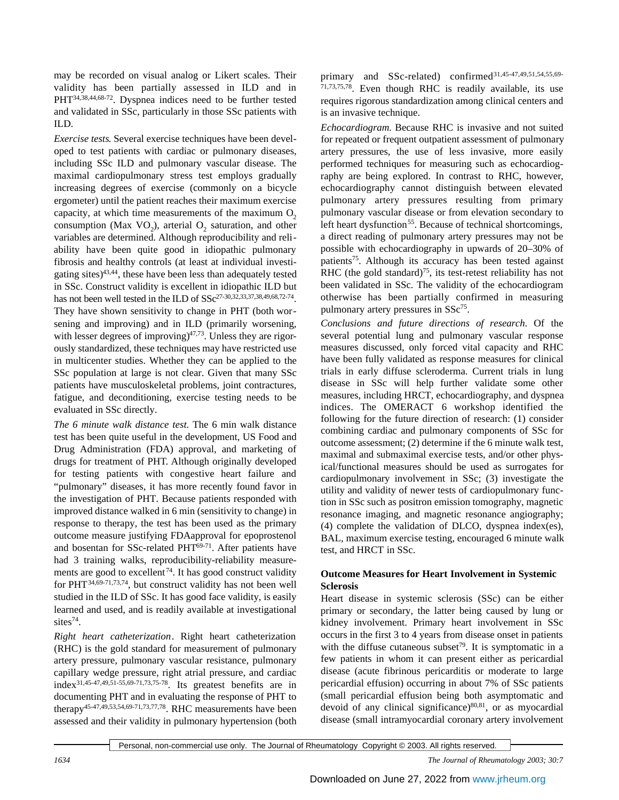may be recorded on visual analog or Likert scales. Their validity has been partially assessed in ILD and in PHT<sup>34,38,44,68-72</sup>. Dyspnea indices need to be further tested and validated in SSc, particularly in those SSc patients with ILD.

*Exercise tests*. Several exercise techniques have been developed to test patients with cardiac or pulmonary diseases, including SSc ILD and pulmonary vascular disease. The maximal cardiopulmonary stress test employs gradually increasing degrees of exercise (commonly on a bicycle ergometer) until the patient reaches their maximum exercise capacity, at which time measurements of the maximum  $O<sub>2</sub>$ consumption (Max VO<sub>2</sub>), arterial  $O_2$  saturation, and other variables are determined. Although reproducibility and reliability have been quite good in idiopathic pulmonary fibrosis and healthy controls (at least at individual investigating sites) $43,44$ , these have been less than adequately tested in SSc. Construct validity is excellent in idiopathic ILD but has not been well tested in the ILD of  $SSc^{27-30,32,33,37,38,49,68,72-74}$ . They have shown sensitivity to change in PHT (both worsening and improving) and in ILD (primarily worsening, with lesser degrees of improving) $47,73$ . Unless they are rigorously standardized, these techniques may have restricted use in multicenter studies. Whether they can be applied to the SSc population at large is not clear. Given that many SSc patients have musculoskeletal problems, joint contractures, fatigue, and deconditioning, exercise testing needs to be evaluated in SSc directly.

*The 6 minute walk distance test.* The 6 min walk distance test has been quite useful in the development, US Food and Drug Administration (FDA) approval, and marketing of drugs for treatment of PHT. Although originally developed for testing patients with congestive heart failure and "pulmonary" diseases, it has more recently found favor in the investigation of PHT. Because patients responded with improved distance walked in 6 min (sensitivity to change) in response to therapy, the test has been used as the primary outcome measure justifying FDAapproval for epoprostenol and bosentan for SSc-related PHT<sup>69-71</sup>. After patients have had 3 training walks, reproducibility-reliability measurements are good to excellent<sup>74</sup>. It has good construct validity for PHT $34,69-71,73,74$ , but construct validity has not been well studied in the ILD of SSc. It has good face validity, is easily learned and used, and is readily available at investigational sites $74$ .

*Right heart catheterization*. Right heart catheterization (RHC) is the gold standard for measurement of pulmonary artery pressure, pulmonary vascular resistance, pulmonary capillary wedge pressure, right atrial pressure, and cardiac  $index^{31,45-47,49,51-55,69-71,73,75-78}$  Its greatest benefits are in documenting PHT and in evaluating the response of PHT to therapy45-47,49,53,54,69-71,73,77,78. RHC measurements have been assessed and their validity in pulmonary hypertension (both

primary and SSc-related) confirmed<sup>31,45-47,49,51,54,55,69-</sup> 71,73,75,78. Even though RHC is readily available, its use requires rigorous standardization among clinical centers and is an invasive technique.

*Echocardiogram.* Because RHC is invasive and not suited for repeated or frequent outpatient assessment of pulmonary artery pressures, the use of less invasive, more easily performed techniques for measuring such as echocardiography are being explored. In contrast to RHC, however, echocardiography cannot distinguish between elevated pulmonary artery pressures resulting from primary pulmonary vascular disease or from elevation secondary to left heart dysfunction<sup>55</sup>. Because of technical shortcomings, a direct reading of pulmonary artery pressures may not be possible with echocardiography in upwards of 20–30% of patients<sup>75</sup>. Although its accuracy has been tested against RHC (the gold standard)<sup>75</sup>, its test-retest reliability has not been validated in SSc. The validity of the echocardiogram otherwise has been partially confirmed in measuring pulmonary artery pressures in SSc<sup>75</sup>.

*Conclusions and future directions of research.* Of the several potential lung and pulmonary vascular response measures discussed, only forced vital capacity and RHC have been fully validated as response measures for clinical trials in early diffuse scleroderma. Current trials in lung disease in SSc will help further validate some other measures, including HRCT, echocardiography, and dyspnea indices. The OMERACT 6 workshop identified the following for the future direction of research: (1) consider combining cardiac and pulmonary components of SSc for outcome assessment; (2) determine if the 6 minute walk test, maximal and submaximal exercise tests, and/or other physical/functional measures should be used as surrogates for cardiopulmonary involvement in SSc; (3) investigate the utility and validity of newer tests of cardiopulmonary function in SSc such as positron emission tomography, magnetic resonance imaging, and magnetic resonance angiography; (4) complete the validation of DLCO, dyspnea index(es), BAL, maximum exercise testing, encouraged 6 minute walk test, and HRCT in SSc.

# **Outcome Measures for Heart Involvement in Systemic Sclerosis**

Heart disease in systemic sclerosis (SSc) can be either primary or secondary, the latter being caused by lung or kidney involvement. Primary heart involvement in SSc occurs in the first 3 to 4 years from disease onset in patients with the diffuse cutaneous subset<sup>79</sup>. It is symptomatic in a few patients in whom it can present either as pericardial disease (acute fibrinous pericarditis or moderate to large pericardial effusion) occurring in about 7% of SSc patients (small pericardial effusion being both asymptomatic and devoid of any clinical significance) $80,81$ , or as myocardial disease (small intramyocardial coronary artery involvement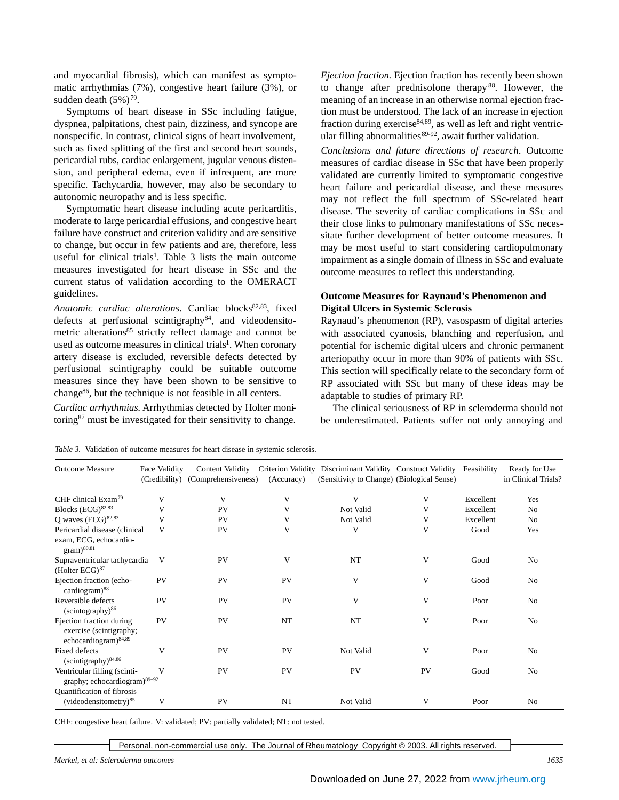and myocardial fibrosis), which can manifest as symptomatic arrhythmias (7%), congestive heart failure (3%), or sudden death  $(5\%)^{79}$ .

Symptoms of heart disease in SSc including fatigue, dyspnea, palpitations, chest pain, dizziness, and syncope are nonspecific. In contrast, clinical signs of heart involvement, such as fixed splitting of the first and second heart sounds, pericardial rubs, cardiac enlargement, jugular venous distension, and peripheral edema, even if infrequent, are more specific. Tachycardia, however, may also be secondary to autonomic neuropathy and is less specific.

Symptomatic heart disease including acute pericarditis, moderate to large pericardial effusions, and congestive heart failure have construct and criterion validity and are sensitive to change, but occur in few patients and are, therefore, less useful for clinical trials<sup>1</sup>. Table 3 lists the main outcome measures investigated for heart disease in SSc and the current status of validation according to the OMERACT guidelines.

Anatomic cardiac alterations. Cardiac blocks<sup>82,83</sup>, fixed defects at perfusional scintigraphy $84$ , and videodensitometric alterations<sup>85</sup> strictly reflect damage and cannot be used as outcome measures in clinical trials<sup>1</sup>. When coronary artery disease is excluded, reversible defects detected by perfusional scintigraphy could be suitable outcome measures since they have been shown to be sensitive to change<sup>86</sup>, but the technique is not feasible in all centers.

*Cardiac arrhythmias.* Arrhythmias detected by Holter monitoring<sup>87</sup> must be investigated for their sensitivity to change.

*Ejection fraction.* Ejection fraction has recently been shown to change after prednisolone therapy<sup>88</sup>. However, the meaning of an increase in an otherwise normal ejection fraction must be understood. The lack of an increase in ejection fraction during exercise $84,89$ , as well as left and right ventricular filling abnormalities $89-92$ , await further validation.

*Conclusions and future directions of research*. Outcome measures of cardiac disease in SSc that have been properly validated are currently limited to symptomatic congestive heart failure and pericardial disease, and these measures may not reflect the full spectrum of SSc-related heart disease. The severity of cardiac complications in SSc and their close links to pulmonary manifestations of SSc necessitate further development of better outcome measures. It may be most useful to start considering cardiopulmonary impairment as a single domain of illness in SSc and evaluate outcome measures to reflect this understanding.

#### **Outcome Measures for Raynaud's Phenomenon and Digital Ulcers in Systemic Sclerosis**

Raynaud's phenomenon (RP), vasospasm of digital arteries with associated cyanosis, blanching and reperfusion, and potential for ischemic digital ulcers and chronic permanent arteriopathy occur in more than 90% of patients with SSc. This section will specifically relate to the secondary form of RP associated with SSc but many of these ideas may be adaptable to studies of primary RP.

The clinical seriousness of RP in scleroderma should not be underestimated. Patients suffer not only annoying and

|  |  |  |  |  |  |  | <i>Table 3.</i> Validation of outcome measures for heart disease in systemic sclerosis. |  |
|--|--|--|--|--|--|--|-----------------------------------------------------------------------------------------|--|
|--|--|--|--|--|--|--|-----------------------------------------------------------------------------------------|--|

| <b>Outcome Measure</b>                                                                  | Face Validity | <b>Content Validity</b><br>(Credibility) (Comprehensiveness) | (Accuracy) | Criterion Validity Discriminant Validity Construct Validity<br>(Sensitivity to Change) (Biological Sense) |    | Feasibility | Ready for Use<br>in Clinical Trials? |
|-----------------------------------------------------------------------------------------|---------------|--------------------------------------------------------------|------------|-----------------------------------------------------------------------------------------------------------|----|-------------|--------------------------------------|
| CHF clinical $Exam79$                                                                   | V             | V                                                            | V          | V                                                                                                         | V  | Excellent   | Yes                                  |
| Blocks (ECG) <sup>82,83</sup>                                                           | V             | PV                                                           | V          | Not Valid                                                                                                 | V  | Excellent   | N <sub>0</sub>                       |
| O waves $(ECG)^{82,83}$                                                                 | V             | PV                                                           | V          | Not Valid                                                                                                 | V  | Excellent   | N <sub>0</sub>                       |
| Pericardial disease (clinical<br>exam, ECG, echocardio-<br>$\rm gram)^{80,81}$          | V             | PV                                                           | V          | V                                                                                                         | V  | Good        | Yes                                  |
| Supraventricular tachycardia<br>$(Holter ECG)^{87}$                                     | V             | PV                                                           | V          | NT                                                                                                        | V  | Good        | N <sub>0</sub>                       |
| Ejection fraction (echo-<br>cardiogram) $88$                                            | PV            | PV                                                           | PV         | V                                                                                                         | V  | Good        | N <sub>0</sub>                       |
| Reversible defects<br>$(\text{scintography})^{86}$                                      | PV            | PV                                                           | PV         | V                                                                                                         | V  | Poor        | No                                   |
| Ejection fraction during<br>exercise (scintigraphy;<br>echocardiogram) <sup>84,89</sup> | PV            | PV                                                           | NT         | NT                                                                                                        | V  | Poor        | N <sub>o</sub>                       |
| <b>Fixed defects</b><br>(scintigraphy) <sup>84,86</sup>                                 | V             | PV                                                           | PV         | Not Valid                                                                                                 | V  | Poor        | No                                   |
| Ventricular filling (scinti-<br>graphy; echocardiogram) <sup>89-92</sup>                | V             | PV                                                           | PV         | PV                                                                                                        | PV | Good        | N <sub>0</sub>                       |
| <b>Quantification of fibrosis</b>                                                       |               |                                                              |            |                                                                                                           |    |             |                                      |
| (videodensitometry) <sup>85</sup>                                                       | V             | PV                                                           | NT         | Not Valid                                                                                                 | V  | Poor        | No                                   |

CHF: congestive heart failure. V: validated; PV: partially validated; NT: not tested.

Personal, non-commercial use only. The Journal of Rheumatology Copyright © 2003. All rights reserved.

*Merkel, et al: Scleroderma outcomes 1635*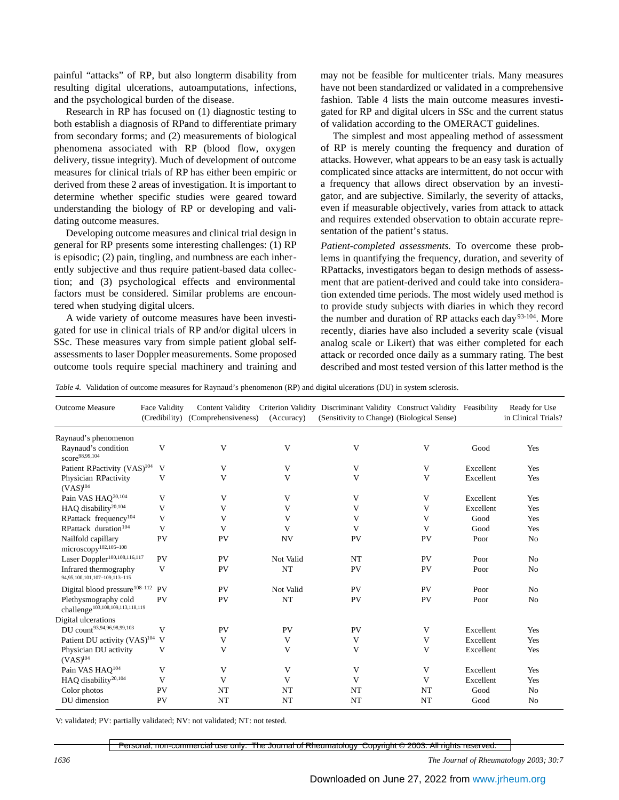painful "attacks" of RP, but also longterm disability from resulting digital ulcerations, autoamputations, infections, and the psychological burden of the disease.

Research in RP has focused on (1) diagnostic testing to both establish a diagnosis of RPand to differentiate primary from secondary forms; and (2) measurements of biological phenomena associated with RP (blood flow, oxygen delivery, tissue integrity). Much of development of outcome measures for clinical trials of RP has either been empiric or derived from these 2 areas of investigation. It is important to determine whether specific studies were geared toward understanding the biology of RP or developing and validating outcome measures.

Developing outcome measures and clinical trial design in general for RP presents some interesting challenges: (1) RP is episodic; (2) pain, tingling, and numbness are each inherently subjective and thus require patient-based data collection; and (3) psychological effects and environmental factors must be considered. Similar problems are encountered when studying digital ulcers.

A wide variety of outcome measures have been investigated for use in clinical trials of RP and/or digital ulcers in SSc. These measures vary from simple patient global selfassessments to laser Doppler measurements. Some proposed outcome tools require special machinery and training and

may not be feasible for multicenter trials. Many measures have not been standardized or validated in a comprehensive fashion. Table 4 lists the main outcome measures investigated for RP and digital ulcers in SSc and the current status of validation according to the OMERACT guidelines.

The simplest and most appealing method of assessment of RP is merely counting the frequency and duration of attacks. However, what appears to be an easy task is actually complicated since attacks are intermittent, do not occur with a frequency that allows direct observation by an investigator, and are subjective. Similarly, the severity of attacks, even if measurable objectively, varies from attack to attack and requires extended observation to obtain accurate representation of the patient's status.

*Patient-completed assessments.* To overcome these problems in quantifying the frequency, duration, and severity of RPattacks, investigators began to design methods of assessment that are patient-derived and could take into consideration extended time periods. The most widely used method is to provide study subjects with diaries in which they record the number and duration of RP attacks each day<sup>93-104</sup>. More recently, diaries have also included a severity scale (visual analog scale or Likert) that was either completed for each attack or recorded once daily as a summary rating. The best described and most tested version of this latter method is the

*Table 4.* Validation of outcome measures for Raynaud's phenomenon (RP) and digital ulcerations (DU) in system sclerosis.

| <b>Outcome Measure</b>                                               | Face Validity<br>(Credibility) | <b>Content Validity</b><br>(Comprehensiveness) | (Accuracy) | Criterion Validity Discriminant Validity Construct Validity<br>(Sensitivity to Change) (Biological Sense) |    | Feasibility | Ready for Use<br>in Clinical Trials? |
|----------------------------------------------------------------------|--------------------------------|------------------------------------------------|------------|-----------------------------------------------------------------------------------------------------------|----|-------------|--------------------------------------|
| Raynaud's phenomenon                                                 |                                |                                                |            |                                                                                                           |    |             |                                      |
| Raynaud's condition<br>score 98,99,104                               | V                              | V                                              | V          | V                                                                                                         | V  | Good        | Yes                                  |
| Patient RPactivity (VAS) <sup>104</sup>                              | V                              | V                                              | V          | V                                                                                                         | V  | Excellent   | Yes                                  |
| Physician RPactivity<br>$(VAS)^{104}$                                | V                              | V                                              | V          | V                                                                                                         | V  | Excellent   | Yes                                  |
| Pain VAS HAQ <sup>20,104</sup>                                       | V                              | V                                              | V          | V                                                                                                         | V  | Excellent   | Yes                                  |
| HAQ disability <sup>20,104</sup>                                     | V                              | V                                              | V          | V                                                                                                         | V  | Excellent   | Yes                                  |
| RPattack frequency <sup>104</sup>                                    | V                              | V                                              | V          | V                                                                                                         | V  | Good        | Yes                                  |
| RPattack duration <sup>104</sup>                                     | V                              | V                                              | V          | V                                                                                                         | V  | Good        | Yes                                  |
| Nailfold capillary<br>microscopy <sup>102,105-108</sup>              | PV                             | PV                                             | NV         | PV                                                                                                        | PV | Poor        | N <sub>o</sub>                       |
| Laser Doppler <sup>100,108,116,117</sup>                             | PV                             | PV                                             | Not Valid  | <b>NT</b>                                                                                                 | PV | Poor        | N <sub>0</sub>                       |
| Infrared thermography<br>94.95.100.101.107-109.113-115               | V                              | PV                                             | NT         | PV                                                                                                        | PV | Poor        | N <sub>o</sub>                       |
| Digital blood pressure <sup>108-112</sup>                            | <b>PV</b>                      | PV                                             | Not Valid  | PV                                                                                                        | PV | Poor        | N <sub>0</sub>                       |
| Plethysmography cold<br>challenge <sup>103,108,109,113,118,119</sup> | PV                             | PV                                             | NT         | PV                                                                                                        | PV | Poor        | No                                   |
| Digital ulcerations                                                  |                                |                                                |            |                                                                                                           |    |             |                                      |
| DU count93,94,96,98,99,103                                           | V                              | PV                                             | PV         | PV                                                                                                        | V  | Excellent   | Yes                                  |
| Patient DU activity (VAS) <sup>104</sup> V                           |                                | V                                              | V          | V                                                                                                         | V  | Excellent   | Yes                                  |
| Physician DU activity<br>$(VAS)^{104}$                               | V                              | V                                              | V          | V                                                                                                         | V  | Excellent   | Yes                                  |
| Pain VAS HAO <sup>104</sup>                                          | V                              | V                                              | V          | V                                                                                                         | V  | Excellent   | Yes                                  |
| HAQ disability <sup>20,104</sup>                                     | V                              | V                                              | V          | V                                                                                                         | V  | Excellent   | Yes                                  |
| Color photos                                                         | PV                             | NT                                             | NT         | NT                                                                                                        | NT | Good        | N <sub>o</sub>                       |
| DU dimension                                                         | PV                             | NT                                             | NT         | NT                                                                                                        | NT | Good        | N <sub>o</sub>                       |

V: validated; PV: partially validated; NV: not validated; NT: not tested.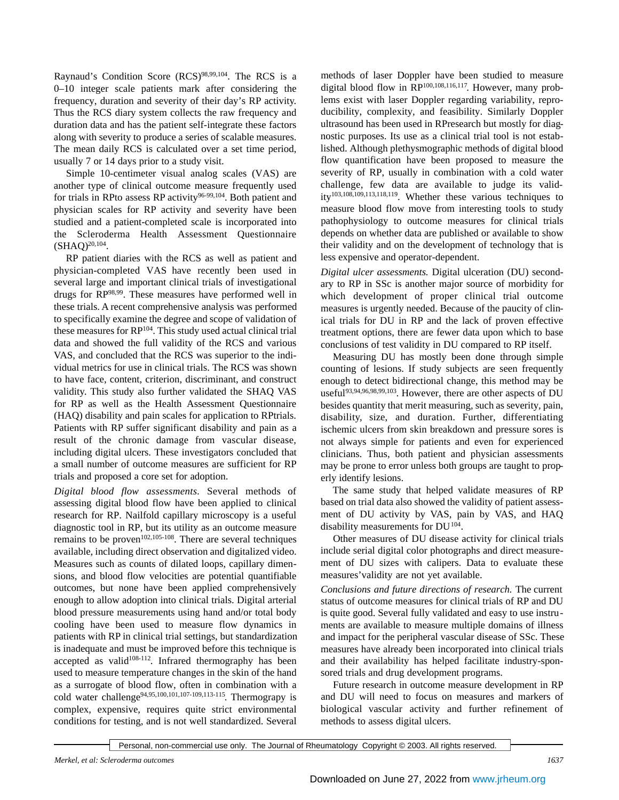Raynaud's Condition Score (RCS)<sup>98,99,104</sup>. The RCS is a 0–10 integer scale patients mark after considering the frequency, duration and severity of their day's RP activity. Thus the RCS diary system collects the raw frequency and duration data and has the patient self-integrate these factors along with severity to produce a series of scalable measures. The mean daily RCS is calculated over a set time period, usually 7 or 14 days prior to a study visit.

Simple 10-centimeter visual analog scales (VAS) are another type of clinical outcome measure frequently used for trials in RPto assess RP activity<sup>96-99,104</sup>. Both patient and physician scales for RP activity and severity have been studied and a patient-completed scale is incorporated into the Scleroderma Health Assessment Questionnaire  $(SHAQ)^{20,104}.$ 

RP patient diaries with the RCS as well as patient and physician-completed VAS have recently been used in several large and important clinical trials of investigational drugs for RP98,99 . These measures have performed well in these trials. A recent comprehensive analysis was performed to specifically examine the degree and scope of validation of these measures for RP<sup>104</sup>. This study used actual clinical trial data and showed the full validity of the RCS and various VAS, and concluded that the RCS was superior to the individual metrics for use in clinical trials. The RCS was shown to have face, content, criterion, discriminant, and construct validity. This study also further validated the SHAQ VAS for RP as well as the Health Assessment Questionnaire (HAQ) disability and pain scales for application to RPtrials. Patients with RP suffer significant disability and pain as a result of the chronic damage from vascular disease, including digital ulcers. These investigators concluded that a small number of outcome measures are sufficient for RP trials and proposed a core set for adoption.

*Digital blood flow assessments.* Several methods of assessing digital blood flow have been applied to clinical research for RP. Nailfold capillary microscopy is a useful diagnostic tool in RP, but its utility as an outcome measure remains to be proven<sup>102,105-108</sup>. There are several techniques available, including direct observation and digitalized video. Measures such as counts of dilated loops, capillary dimensions, and blood flow velocities are potential quantifiable outcomes, but none have been applied comprehensively enough to allow adoption into clinical trials. Digital arterial blood pressure measurements using hand and/or total body cooling have been used to measure flow dynamics in patients with RP in clinical trial settings, but standardization is inadequate and must be improved before this technique is accepted as valid<sup>108-112</sup>. Infrared thermography has been used to measure temperature changes in the skin of the hand as a surrogate of blood flow, often in combination with a cold water challenge<sup>94,95,100,101,107-109,113-115</sup>. Thermograpy is complex, expensive, requires quite strict environmental conditions for testing, and is not well standardized. Several

methods of laser Doppler have been studied to measure digital blood flow in RP<sup>100,108,116,117</sup>. However, many problems exist with laser Doppler regarding variability, reproducibility, complexity, and feasibility. Similarly Doppler ultrasound has been used in RPresearch but mostly for diagnostic purposes. Its use as a clinical trial tool is not established. Although plethysmographic methods of digital blood flow quantification have been proposed to measure the severity of RP, usually in combination with a cold water challenge, few data are available to judge its validity103,108,109,113,118,119 . Whether these various techniques to measure blood flow move from interesting tools to study pathophysiology to outcome measures for clinical trials depends on whether data are published or available to show their validity and on the development of technology that is less expensive and operator-dependent.

*Digital ulcer assessments.* Digital ulceration (DU) secondary to RP in SSc is another major source of morbidity for which development of proper clinical trial outcome measures is urgently needed. Because of the paucity of clinical trials for DU in RP and the lack of proven effective treatment options, there are fewer data upon which to base conclusions of test validity in DU compared to RP itself.

Measuring DU has mostly been done through simple counting of lesions. If study subjects are seen frequently enough to detect bidirectional change, this method may be useful93,94,96,98,99,103. However, there are other aspects of DU besides quantity that merit measuring, such as severity, pain, disability, size, and duration. Further, differentiating ischemic ulcers from skin breakdown and pressure sores is not always simple for patients and even for experienced clinicians. Thus, both patient and physician assessments may be prone to error unless both groups are taught to properly identify lesions.

The same study that helped validate measures of RP based on trial data also showed the validity of patient assessment of DU activity by VAS, pain by VAS, and HAQ disability measurements for  $DU<sup>104</sup>$ .

Other measures of DU disease activity for clinical trials include serial digital color photographs and direct measurement of DU sizes with calipers. Data to evaluate these measures'validity are not yet available.

*Conclusions and future directions of research.* The current status of outcome measures for clinical trials of RP and DU is quite good. Several fully validated and easy to use instruments are available to measure multiple domains of illness and impact for the peripheral vascular disease of SSc. These measures have already been incorporated into clinical trials and their availability has helped facilitate industry-sponsored trials and drug development programs.

Future research in outcome measure development in RP and DU will need to focus on measures and markers of biological vascular activity and further refinement of methods to assess digital ulcers.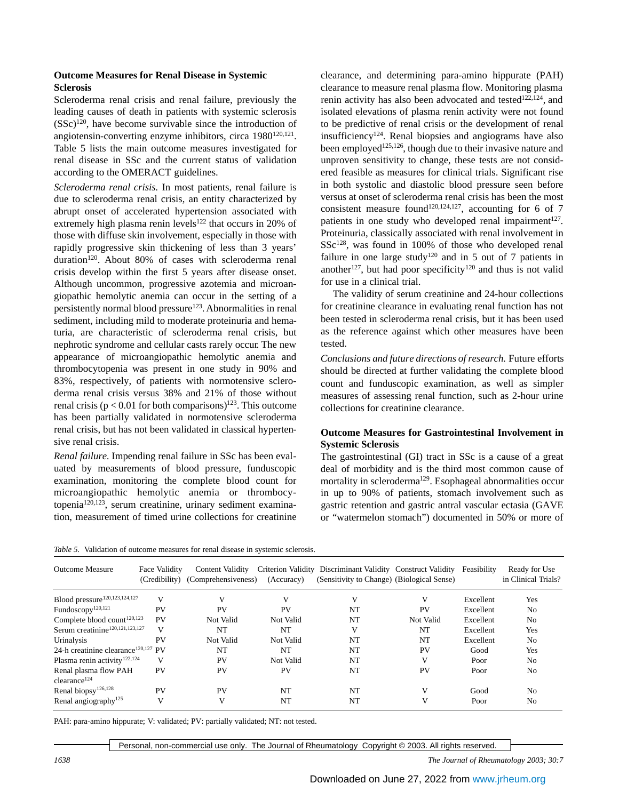## **Outcome Measures for Renal Disease in Systemic Sclerosis**

Scleroderma renal crisis and renal failure, previously the leading causes of death in patients with systemic sclerosis  $(SSc)^{120}$ , have become survivable since the introduction of angiotensin-converting enzyme inhibitors, circa 1980<sup>120,121</sup>. Table 5 lists the main outcome measures investigated for renal disease in SSc and the current status of validation according to the OMERACT guidelines.

*Scleroderma renal crisis.* In most patients, renal failure is due to scleroderma renal crisis, an entity characterized by abrupt onset of accelerated hypertension associated with extremely high plasma renin levels<sup>122</sup> that occurs in 20% of those with diffuse skin involvement, especially in those with rapidly progressive skin thickening of less than 3 years' duration<sup>120</sup>. About 80% of cases with scleroderma renal crisis develop within the first 5 years after disease onset. Although uncommon, progressive azotemia and microangiopathic hemolytic anemia can occur in the setting of a persistently normal blood pressure<sup>123</sup>. Abnormalities in renal sediment, including mild to moderate proteinuria and hematuria, are characteristic of scleroderma renal crisis, but nephrotic syndrome and cellular casts rarely occur. The new appearance of microangiopathic hemolytic anemia and thrombocytopenia was present in one study in 90% and 83%, respectively, of patients with normotensive scleroderma renal crisis versus 38% and 21% of those without renal crisis ( $p < 0.01$  for both comparisons)<sup>123</sup>. This outcome has been partially validated in normotensive scleroderma renal crisis, but has not been validated in classical hypertensive renal crisis.

*Renal failure.* Impending renal failure in SSc has been evaluated by measurements of blood pressure, funduscopic examination, monitoring the complete blood count for microangiopathic hemolytic anemia or thrombocytopenia120,123, serum creatinine, urinary sediment examination, measurement of timed urine collections for creatinine

clearance, and determining para-amino hippurate (PAH) clearance to measure renal plasma flow. Monitoring plasma renin activity has also been advocated and tested<sup>122,124</sup>, and isolated elevations of plasma renin activity were not found to be predictive of renal crisis or the development of renal insufficiency<sup>124</sup>. Renal biopsies and angiograms have also been employed<sup>125,126</sup>, though due to their invasive nature and unproven sensitivity to change, these tests are not considered feasible as measures for clinical trials. Significant rise in both systolic and diastolic blood pressure seen before versus at onset of scleroderma renal crisis has been the most consistent measure found<sup>120,124,127</sup>, accounting for 6 of 7 patients in one study who developed renal impairment<sup>127</sup>. Proteinuria, classically associated with renal involvement in  $SSc<sup>128</sup>$ , was found in 100% of those who developed renal failure in one large study<sup>120</sup> and in 5 out of 7 patients in another<sup>127</sup>, but had poor specificity<sup>120</sup> and thus is not valid for use in a clinical trial.

The validity of serum creatinine and 24-hour collections for creatinine clearance in evaluating renal function has not been tested in scleroderma renal crisis, but it has been used as the reference against which other measures have been tested.

*Conclusions and future directions of research.* Future efforts should be directed at further validating the complete blood count and funduscopic examination, as well as simpler measures of assessing renal function, such as 2-hour urine collections for creatinine clearance.

## **Outcome Measures for Gastrointestinal Involvement in Systemic Sclerosis**

The gastrointestinal (GI) tract in SSc is a cause of a great deal of morbidity and is the third most common cause of mortality in scleroderma<sup>129</sup>. Esophageal abnormalities occur in up to 90% of patients, stomach involvement such as gastric retention and gastric antral vascular ectasia (GAVE or "watermelon stomach") documented in 50% or more of

| Table 5. Validation of outcome measures for renal disease in systemic sclerosis. |  |  |
|----------------------------------------------------------------------------------|--|--|
|----------------------------------------------------------------------------------|--|--|

| <b>Outcome Measure</b>                            | Face Validity | Content Validity<br>(Credibility) (Comprehensiveness) | (Accuracy) | Criterion Validity Discriminant Validity Construct Validity<br>(Sensitivity to Change) (Biological Sense) |           | Feasibility | Ready for Use<br>in Clinical Trials? |
|---------------------------------------------------|---------------|-------------------------------------------------------|------------|-----------------------------------------------------------------------------------------------------------|-----------|-------------|--------------------------------------|
| Blood pressure <sup>120,123,124,127</sup>         | V             | V                                                     | V          | V                                                                                                         | V         | Excellent   | Yes                                  |
| Fundoscopy <sup>120,121</sup>                     | <b>PV</b>     | PV                                                    | PV         | <b>NT</b>                                                                                                 | PV        | Excellent   | No                                   |
| Complete blood count <sup>120,123</sup>           | PV            | Not Valid                                             | Not Valid  | NT                                                                                                        | Not Valid | Excellent   | No                                   |
| Serum creatinine <sup>120,121,123,127</sup>       | $\mathbf{V}$  | NT                                                    | <b>NT</b>  | V                                                                                                         | NT        | Excellent   | Yes                                  |
| Urinalysis                                        | <b>PV</b>     | Not Valid                                             | Not Valid  | NT                                                                                                        | <b>NT</b> | Excellent   | No                                   |
| 24-h creatinine clearance <sup>120,127</sup> PV   |               | NT                                                    | NT         | NT                                                                                                        | PV        | Good        | Yes                                  |
| Plasma renin activity <sup>122,124</sup>          | V             | PV                                                    | Not Valid  | NT                                                                                                        | V         | Poor        | N <sub>0</sub>                       |
| Renal plasma flow PAH<br>clearance <sup>124</sup> | PV            | PV                                                    | PV         | NT                                                                                                        | PV        | Poor        | No                                   |
| Renal biopsy <sup>126,128</sup>                   | PV            | PV                                                    | <b>NT</b>  | NT                                                                                                        | V         | Good        | N <sub>o</sub>                       |
| Renal angiography <sup>125</sup>                  | V             | V                                                     | NT         | NT                                                                                                        | V         | Poor        | N <sub>o</sub>                       |

PAH: para-amino hippurate; V: validated; PV: partially validated; NT: not tested.

Personal, non-commercial use only. The Journal of Rheumatology Copyright © 2003. All rights reserved.

*1638 The Journal of Rheumatology 2003; 30:7*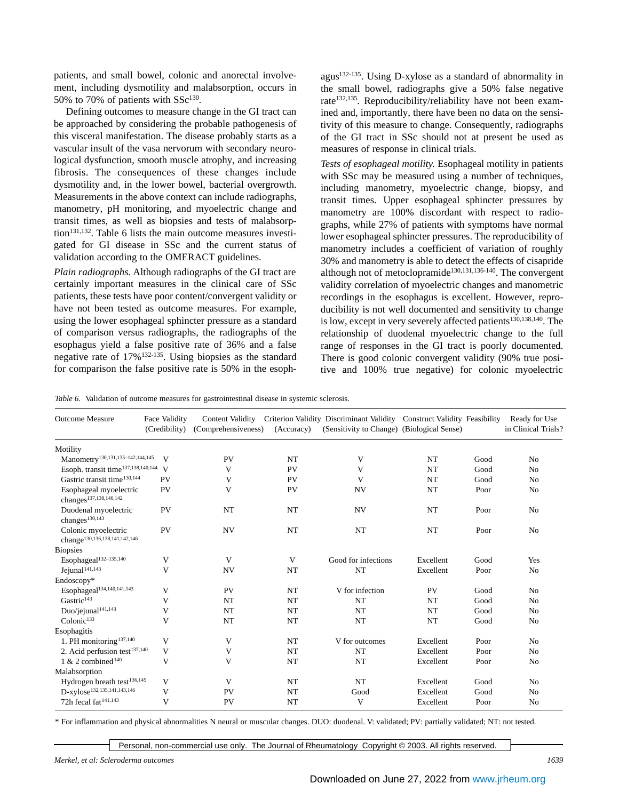patients, and small bowel, colonic and anorectal involvement, including dysmotility and malabsorption, occurs in 50% to 70% of patients with  $SSc^{130}$ .

Defining outcomes to measure change in the GI tract can be approached by considering the probable pathogenesis of this visceral manifestation. The disease probably starts as a vascular insult of the vasa nervorum with secondary neurological dysfunction, smooth muscle atrophy, and increasing fibrosis. The consequences of these changes include dysmotility and, in the lower bowel, bacterial overgrowth. Measurements in the above context can include radiographs, manometry, pH monitoring, and myoelectric change and transit times, as well as biopsies and tests of malabsorp- $\text{tion}^{131,132}$ . Table 6 lists the main outcome measures investigated for GI disease in SSc and the current status of validation according to the OMERACT guidelines.

*Plain radiographs.* Although radiographs of the GI tract are certainly important measures in the clinical care of SSc patients, these tests have poor content/convergent validity or have not been tested as outcome measures. For example, using the lower esophageal sphincter pressure as a standard of comparison versus radiographs, the radiographs of the esophagus yield a false positive rate of 36% and a false negative rate of 17%132-135. Using biopsies as the standard for comparison the false positive rate is 50% in the esoph-

agus132-135. Using D-xylose as a standard of abnormality in the small bowel, radiographs give a 50% false negative rate<sup>132,135</sup>. Reproducibility/reliability have not been examined and, importantly, there have been no data on the sensitivity of this measure to change. Consequently, radiographs of the GI tract in SSc should not at present be used as measures of response in clinical trials.

*Tests of esophageal motility.* Esophageal motility in patients with SSc may be measured using a number of techniques, including manometry, myoelectric change, biopsy, and transit times. Upper esophageal sphincter pressures by manometry are 100% discordant with respect to radiographs, while 27% of patients with symptoms have normal lower esophageal sphincter pressures. The reproducibility of manometry includes a coefficient of variation of roughly 30% and manometry is able to detect the effects of cisapride although not of metoclopramide<sup>130,131,136-140</sup>. The convergent validity correlation of myoelectric changes and manometric recordings in the esophagus is excellent. However, reproducibility is not well documented and sensitivity to change is low, except in very severely affected patients<sup>130,138,140</sup>. The relationship of duodenal myoelectric change to the full range of responses in the GI tract is poorly documented. There is good colonic convergent validity (90% true positive and 100% true negative) for colonic myoelectric

*Table 6.* Validation of outcome measures for gastrointestinal disease in systemic sclerosis.

| <b>Outcome Measure</b>                                           | Face Validity<br>(Credibility) | <b>Content Validity</b><br>(Comprehensiveness) | (Accuracy) | Criterion Validity Discriminant Validity Construct Validity Feasibility<br>(Sensitivity to Change) (Biological Sense) |           |      | Ready for Use<br>in Clinical Trials? |
|------------------------------------------------------------------|--------------------------------|------------------------------------------------|------------|-----------------------------------------------------------------------------------------------------------------------|-----------|------|--------------------------------------|
| Motility                                                         |                                |                                                |            |                                                                                                                       |           |      |                                      |
| Manometry <sup>130,131,135-142,144,145</sup>                     | $\mathbf{V}$                   | PV                                             | NT         | V                                                                                                                     | NT        | Good | No                                   |
| Esoph. transit time <sup>137,138,140,144</sup>                   | V                              | V                                              | PV         | V                                                                                                                     | NT        | Good | N <sub>o</sub>                       |
| Gastric transit time <sup>130,144</sup>                          | PV                             | V                                              | PV         | V                                                                                                                     | NT        | Good | N <sub>o</sub>                       |
| Esophageal myoelectric<br>changes <sup>137,138,140,142</sup>     | PV                             | V                                              | PV         | <b>NV</b>                                                                                                             | NT        | Poor | No                                   |
| Duodenal myoelectric<br>changes <sup>130,143</sup>               | PV                             | <b>NT</b>                                      | NT         | <b>NV</b>                                                                                                             | NT        | Poor | No                                   |
| Colonic myoelectric<br>change <sup>130,136,138,141,142,146</sup> | PV                             | NV                                             | NT         | <b>NT</b>                                                                                                             | NT        | Poor | N <sub>o</sub>                       |
| <b>Biopsies</b>                                                  |                                |                                                |            |                                                                                                                       |           |      |                                      |
| $\mbox{Esophaged}^{132-135,140}$                                 | V                              | V                                              | V          | Good for infections                                                                                                   | Excellent | Good | Yes                                  |
| Jejunal <sup>141,143</sup>                                       | V                              | NV                                             | NT         | <b>NT</b>                                                                                                             | Excellent | Poor | N <sub>o</sub>                       |
| Endoscopy*                                                       |                                |                                                |            |                                                                                                                       |           |      |                                      |
| Esophageal <sup>134,140,141,143</sup>                            | V                              | PV                                             | <b>NT</b>  | V for infection                                                                                                       | PV        | Good | N <sub>o</sub>                       |
| Gastric <sup>143</sup>                                           | V                              | NT                                             | NT         | NT                                                                                                                    | <b>NT</b> | Good | N <sub>o</sub>                       |
| Duo/jejunal <sup>141,143</sup>                                   | V                              | <b>NT</b>                                      | NT         | NT                                                                                                                    | <b>NT</b> | Good | N <sub>o</sub>                       |
| Colonic <sup>133</sup>                                           | V                              | NT                                             | NT         | NT                                                                                                                    | <b>NT</b> | Good | N <sub>o</sub>                       |
| Esophagitis                                                      |                                |                                                |            |                                                                                                                       |           |      |                                      |
| 1. PH monitoring <sup>137,140</sup>                              | V                              | V                                              | NT         | V for outcomes                                                                                                        | Excellent | Poor | N <sub>o</sub>                       |
| 2. Acid perfusion test <sup>137,140</sup>                        | V                              | V                                              | NT         | NT                                                                                                                    | Excellent | Poor | N <sub>o</sub>                       |
| 1 & 2 combined <sup>140</sup>                                    | V                              | V                                              | NT         | NT                                                                                                                    | Excellent | Poor | No                                   |
| Malabsorption                                                    |                                |                                                |            |                                                                                                                       |           |      |                                      |
| Hydrogen breath test <sup>136,145</sup>                          | V                              | V                                              | NT         | NT                                                                                                                    | Excellent | Good | N <sub>0</sub>                       |
| D-xylose <sup>132,135,141,143,146</sup>                          | V                              | PV                                             | NT         | Good                                                                                                                  | Excellent | Good | N <sub>o</sub>                       |
| 72h fecal fat <sup>141,143</sup>                                 | V                              | PV                                             | NT         | V                                                                                                                     | Excellent | Poor | No                                   |

\* For inflammation and physical abnormalities N neural or muscular changes. DUO: duodenal. V: validated; PV: partially validated; NT: not tested.

Personal, non-commercial use only. The Journal of Rheumatology Copyright © 2003. All rights reserved.

*Merkel, et al: Scleroderma outcomes 1639*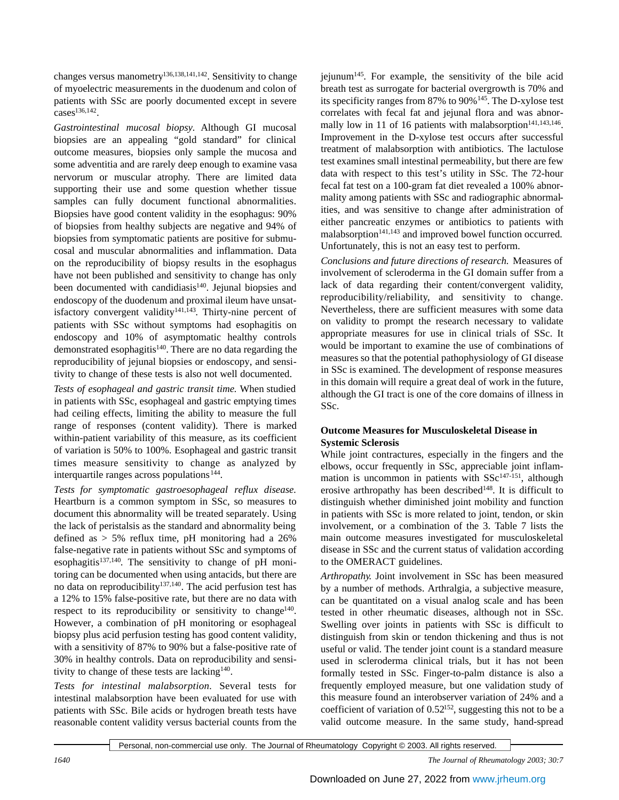changes versus manometry<sup>136,138,141,142</sup>. Sensitivity to change of myoelectric measurements in the duodenum and colon of patients with SSc are poorly documented except in severe  $cases$ <sup>136,142</sup>.

Gastrointestinal mucosal biopsy. Although GI mucosal biopsies are an appealing "gold standard" for clinical outcome measures, biopsies only sample the mucosa and some adventitia and are rarely deep enough to examine vasa nervorum or muscular atrophy. There are limited data supporting their use and some question whether tissue samples can fully document functional abnormalities. Biopsies have good content validity in the esophagus: 90% of biopsies from healthy subjects are negative and 94% of biopsies from symptomatic patients are positive for submucosal and muscular abnormalities and inflammation. Data on the reproducibility of biopsy results in the esophagus have not been published and sensitivity to change has only been documented with candidiasis<sup>140</sup>. Jejunal biopsies and endoscopy of the duodenum and proximal ileum have unsatisfactory convergent validity<sup>141,143</sup>. Thirty-nine percent of patients with SSc without symptoms had esophagitis on endoscopy and 10% of asymptomatic healthy controls demonstrated esophagitis<sup>140</sup>. There are no data regarding the reproducibility of jejunal biopsies or endoscopy, and sensitivity to change of these tests is also not well documented.

*Tests of esophageal and gastric transit time.* When studied in patients with SSc, esophageal and gastric emptying times had ceiling effects, limiting the ability to measure the full range of responses (content validity). There is marked within-patient variability of this measure, as its coefficient of variation is 50% to 100%. Esophageal and gastric transit times measure sensitivity to change as analyzed by interquartile ranges across populations<sup>144</sup>.

*Tests for symptomatic gastroesophageal reflux disease.* Heartburn is a common symptom in SSc, so measures to document this abnormality will be treated separately. Using the lack of peristalsis as the standard and abnormality being defined as  $> 5\%$  reflux time, pH monitoring had a 26% false-negative rate in patients without SSc and symptoms of esophagitis<sup>137,140</sup>. The sensitivity to change of pH monitoring can be documented when using antacids, but there are no data on reproducibility<sup>137,140</sup>. The acid perfusion test has a 12% to 15% false-positive rate, but there are no data with respect to its reproducibility or sensitivity to change<sup>140</sup>. However, a combination of pH monitoring or esophageal biopsy plus acid perfusion testing has good content validity, with a sensitivity of 87% to 90% but a false-positive rate of 30% in healthy controls. Data on reproducibility and sensitivity to change of these tests are lacking<sup>140</sup>.

*Tests for intestinal malabsorption.* Several tests for intestinal malabsorption have been evaluated for use with patients with SSc. Bile acids or hydrogen breath tests have reasonable content validity versus bacterial counts from the  $\mu$ iejunum<sup>145</sup>. For example, the sensitivity of the bile acid breath test as surrogate for bacterial overgrowth is 70% and its specificity ranges from 87% to 90%<sup>145</sup>. The D-xylose test correlates with fecal fat and jejunal flora and was abnormally low in 11 of 16 patients with malabsorption<sup>141,143,146</sup>. Improvement in the D-xylose test occurs after successful treatment of malabsorption with antibiotics. The lactulose test examines small intestinal permeability, but there are few data with respect to this test's utility in SSc. The 72-hour fecal fat test on a 100-gram fat diet revealed a 100% abnormality among patients with SSc and radiographic abnormalities, and was sensitive to change after administration of either pancreatic enzymes or antibiotics to patients with malabsorption<sup>141,143</sup> and improved bowel function occurred. Unfortunately, this is not an easy test to perform.

*Conclusions and future directions of research.* Measures of involvement of scleroderma in the GI domain suffer from a lack of data regarding their content/convergent validity, reproducibility/reliability, and sensitivity to change. Nevertheless, there are sufficient measures with some data on validity to prompt the research necessary to validate appropriate measures for use in clinical trials of SSc. It would be important to examine the use of combinations of measures so that the potential pathophysiology of GI disease in SSc is examined. The development of response measures in this domain will require a great deal of work in the future, although the GI tract is one of the core domains of illness in SSc.

## **Outcome Measures for Musculoskeletal Disease in Systemic Sclerosis**

While joint contractures, especially in the fingers and the elbows, occur frequently in SSc, appreciable joint inflammation is uncommon in patients with SSc<sup>147-151</sup>, although erosive arthropathy has been described<sup>148</sup>. It is difficult to distinguish whether diminished joint mobility and function in patients with SSc is more related to joint, tendon, or skin involvement, or a combination of the 3. Table 7 lists the main outcome measures investigated for musculoskeletal disease in SSc and the current status of validation according to the OMERACT guidelines.

*Arthropathy.* Joint involvement in SSc has been measured by a number of methods. Arthralgia, a subjective measure, can be quantitated on a visual analog scale and has been tested in other rheumatic diseases, although not in SSc. Swelling over joints in patients with SSc is difficult to distinguish from skin or tendon thickening and thus is not useful or valid. The tender joint count is a standard measure used in scleroderma clinical trials, but it has not been formally tested in SSc. Finger-to-palm distance is also a frequently employed measure, but one validation study of this measure found an interobserver variation of 24% and a coefficient of variation of 0.52<sup>152</sup>, suggesting this not to be a valid outcome measure. In the same study, hand-spread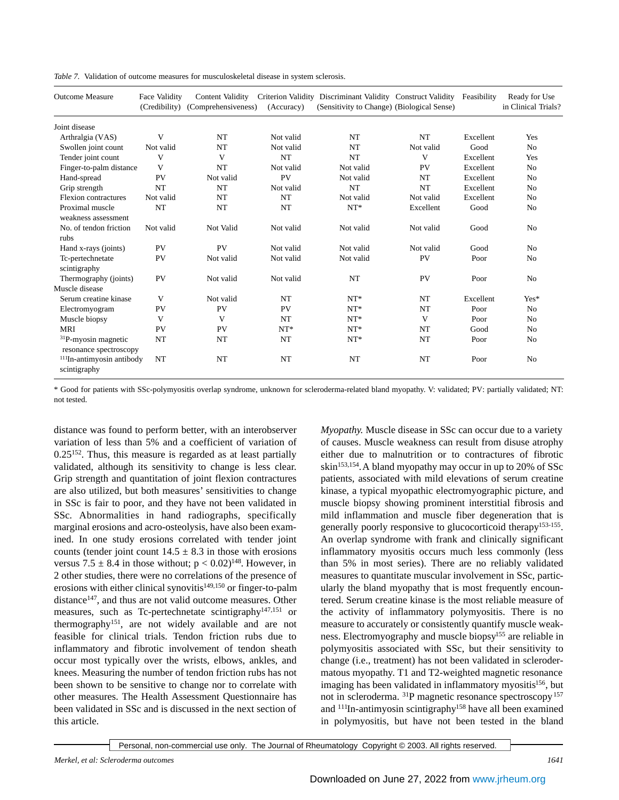*Table 7.* Validation of outcome measures for musculoskeletal disease in system sclerosis.

| <b>Outcome Measure</b>                                | Face Validity<br>(Credibility) | Content Validity<br>(Comprehensiveness) | (Accuracy) | Criterion Validity Discriminant Validity Construct Validity<br>(Sensitivity to Change) (Biological Sense) |           | Feasibility | Ready for Use<br>in Clinical Trials? |
|-------------------------------------------------------|--------------------------------|-----------------------------------------|------------|-----------------------------------------------------------------------------------------------------------|-----------|-------------|--------------------------------------|
| Joint disease                                         |                                |                                         |            |                                                                                                           |           |             |                                      |
| Arthralgia (VAS)                                      | V                              | NT                                      | Not valid  | NT                                                                                                        | NT        | Excellent   | Yes                                  |
| Swollen joint count                                   | Not valid                      | NT                                      | Not valid  | NT                                                                                                        | Not valid | Good        | N <sub>o</sub>                       |
| Tender joint count                                    | V                              | V                                       | <b>NT</b>  | NT                                                                                                        | V         | Excellent   | Yes                                  |
| Finger-to-palm distance                               | V                              | NT                                      | Not valid  | Not valid                                                                                                 | <b>PV</b> | Excellent   | N <sub>0</sub>                       |
| Hand-spread                                           | PV                             | Not valid                               | <b>PV</b>  | Not valid                                                                                                 | NT        | Excellent   | N <sub>0</sub>                       |
| Grip strength                                         | <b>NT</b>                      | <b>NT</b>                               | Not valid  | <b>NT</b>                                                                                                 | <b>NT</b> | Excellent   | N <sub>o</sub>                       |
| Flexion contractures                                  | Not valid                      | NT                                      | <b>NT</b>  | Not valid                                                                                                 | Not valid | Excellent   | N <sub>0</sub>                       |
| Proximal muscle                                       | NT                             | NT                                      | <b>NT</b>  | $NT*$                                                                                                     | Excellent | Good        | N <sub>o</sub>                       |
| weakness assessment                                   |                                |                                         |            |                                                                                                           |           |             |                                      |
| No. of tendon friction                                | Not valid                      | Not Valid                               | Not valid  | Not valid                                                                                                 | Not valid | Good        | N <sub>o</sub>                       |
| rubs                                                  |                                |                                         |            |                                                                                                           |           |             |                                      |
| Hand x-rays (joints)                                  | PV                             | PV                                      | Not valid  | Not valid                                                                                                 | Not valid | Good        | N <sub>0</sub>                       |
| Tc-pertechnetate<br>scintigraphy                      | PV                             | Not valid                               | Not valid  | Not valid                                                                                                 | PV        | Poor        | No                                   |
| Thermography (joints)                                 | PV                             | Not valid                               | Not valid  | NT                                                                                                        | <b>PV</b> | Poor        | No                                   |
| Muscle disease                                        |                                |                                         |            |                                                                                                           |           |             |                                      |
| Serum creatine kinase                                 | V                              | Not valid                               | NT         | $NT*$                                                                                                     | NT        | Excellent   | $Yes*$                               |
| Electromyogram                                        | PV                             | PV                                      | PV         | $NT*$                                                                                                     | <b>NT</b> | Poor        | N <sub>0</sub>                       |
| Muscle biopsy                                         | V                              | V                                       | NT         | $NT*$                                                                                                     | V         | Poor        | N <sub>0</sub>                       |
| <b>MRI</b>                                            | PV                             | PV                                      | $NT*$      | $NT*$                                                                                                     | NT        | Good        | N <sub>0</sub>                       |
| $31$ P-myosin magnetic<br>resonance spectroscopy      | NT                             | NT                                      | <b>NT</b>  | $NT*$                                                                                                     | NT        | Poor        | No                                   |
| <sup>111</sup> In-antimyosin antibody<br>scintigraphy | NT                             | NT                                      | NT         | NT                                                                                                        | NT        | Poor        | No                                   |

\* Good for patients with SSc-polymyositis overlap syndrome, unknown for scleroderma-related bland myopathy. V: validated; PV: partially validated; NT: not tested.

distance was found to perform better, with an interobserver variation of less than 5% and a coefficient of variation of  $0.25<sup>152</sup>$ . Thus, this measure is regarded as at least partially validated, although its sensitivity to change is less clear. Grip strength and quantitation of joint flexion contractures are also utilized, but both measures' sensitivities to change in SSc is fair to poor, and they have not been validated in SSc. Abnormalities in hand radiographs, specifically marginal erosions and acro-osteolysis, have also been examined. In one study erosions correlated with tender joint counts (tender joint count  $14.5 \pm 8.3$  in those with erosions versus 7.5  $\pm$  8.4 in those without; p < 0.02)<sup>148</sup>. However, in 2 other studies, there were no correlations of the presence of erosions with either clinical synovitis<sup>149,150</sup> or finger-to-palm distance<sup>147</sup>, and thus are not valid outcome measures. Other measures, such as Tc-pertechnetate scintigraphy<sup>147,151</sup> or thermography<sup>151</sup>, are not widely available and are not feasible for clinical trials. Tendon friction rubs due to inflammatory and fibrotic involvement of tendon sheath occur most typically over the wrists, elbows, ankles, and knees. Measuring the number of tendon friction rubs has not been shown to be sensitive to change nor to correlate with other measures. The Health Assessment Questionnaire has been validated in SSc and is discussed in the next section of this article.

*Myopathy.* Muscle disease in SSc can occur due to a variety of causes. Muscle weakness can result from disuse atrophy either due to malnutrition or to contractures of fibrotic skin<sup>153,154</sup>. A bland myopathy may occur in up to 20% of SSc patients, associated with mild elevations of serum creatine kinase, a typical myopathic electromyographic picture, and muscle biopsy showing prominent interstitial fibrosis and mild inflammation and muscle fiber degeneration that is generally poorly responsive to glucocorticoid therapy<sup>153-155</sup>. An overlap syndrome with frank and clinically significant inflammatory myositis occurs much less commonly (less than 5% in most series). There are no reliably validated measures to quantitate muscular involvement in SSc, particularly the bland myopathy that is most frequently encountered. Serum creatine kinase is the most reliable measure of the activity of inflammatory polymyositis. There is no measure to accurately or consistently quantify muscle weakness. Electromyography and muscle biopsy<sup>155</sup> are reliable in polymyositis associated with SSc, but their sensitivity to change (i.e., treatment) has not been validated in sclerodermatous myopathy. T1 and T2-weighted magnetic resonance imaging has been validated in inflammatory myositis<sup>156</sup>, but not in scleroderma. <sup>31</sup>P magnetic resonance spectroscopy<sup>157</sup> and <sup>111</sup>In-antimyosin scintigraphy<sup>158</sup> have all been examined in polymyositis, but have not been tested in the bland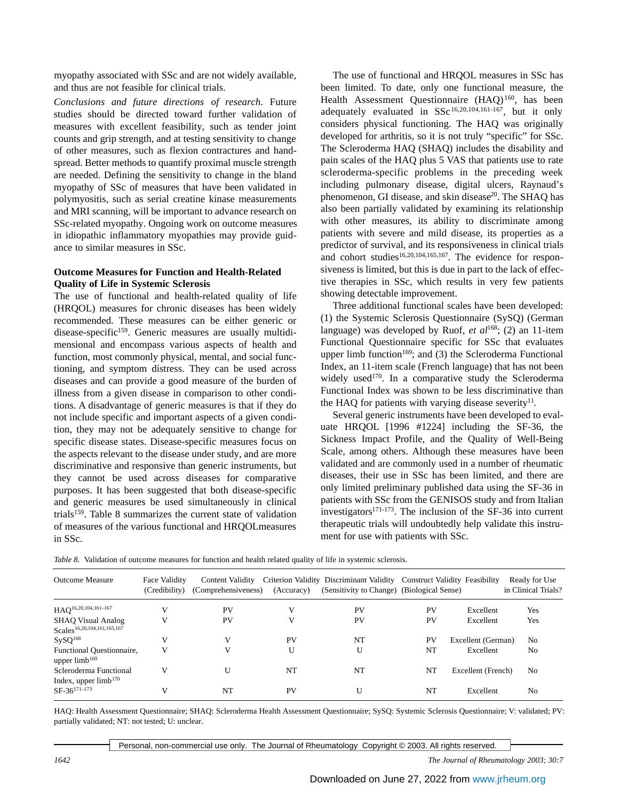myopathy associated with SSc and are not widely available, and thus are not feasible for clinical trials.

*Conclusions and future directions of research.* Future studies should be directed toward further validation of measures with excellent feasibility, such as tender joint counts and grip strength, and at testing sensitivity to change of other measures, such as flexion contractures and handspread. Better methods to quantify proximal muscle strength are needed. Defining the sensitivity to change in the bland myopathy of SSc of measures that have been validated in polymyositis, such as serial creatine kinase measurements and MRI scanning, will be important to advance research on SSc-related myopathy. Ongoing work on outcome measures in idiopathic inflammatory myopathies may provide guidance to similar measures in SSc.

#### **Outcome Measures for Function and Health-Related Quality of Life in Systemic Sclerosis**

The use of functional and health-related quality of life (HRQOL) measures for chronic diseases has been widely recommended. These measures can be either generic or disease-specific<sup>159</sup>. Generic measures are usually multidimensional and encompass various aspects of health and function, most commonly physical, mental, and social functioning, and symptom distress. They can be used across diseases and can provide a good measure of the burden of illness from a given disease in comparison to other conditions. A disadvantage of generic measures is that if they do not include specific and important aspects of a given condition, they may not be adequately sensitive to change for specific disease states. Disease-specific measures focus on the aspects relevant to the disease under study, and are more discriminative and responsive than generic instruments, but they cannot be used across diseases for comparative purposes. It has been suggested that both disease-specific and generic measures be used simultaneously in clinical trials<sup>159</sup>. Table 8 summarizes the current state of validation of measures of the various functional and HRQOLmeasures in SSc.

The use of functional and HRQOL measures in SSc has been limited. To date, only one functional measure, the Health Assessment Questionnaire  $(HAQ)$ <sup>160</sup>, has been adequately evaluated in SSc<sup>16, 20, 104, 161-167</sup>, but it only considers physical functioning. The HAQ was originally developed for arthritis, so it is not truly "specific" for SSc. The Scleroderma HAQ (SHAQ) includes the disability and pain scales of the HAQ plus 5 VAS that patients use to rate scleroderma-specific problems in the preceding week including pulmonary disease, digital ulcers, Raynaud's phenomenon, GI disease, and skin disease<sup>20</sup>. The SHAQ has also been partially validated by examining its relationship with other measures, its ability to discriminate among patients with severe and mild disease, its properties as a predictor of survival, and its responsiveness in clinical trials and cohort studies<sup>16,20,104,165,167</sup>. The evidence for responsiveness is limited, but this is due in part to the lack of effective therapies in SSc, which results in very few patients showing detectable improvement.

Three additional functional scales have been developed: (1) the Systemic Sclerosis Questionnaire (SySQ) (German language) was developed by Ruof, *et al*<sup>168</sup>; (2) an 11-item Functional Questionnaire specific for SSc that evaluates upper limb function<sup>169</sup>; and (3) the Scleroderma Functional Index, an 11-item scale (French language) that has not been widely used<sup>170</sup>. In a comparative study the Scleroderma Functional Index was shown to be less discriminative than the HAQ for patients with varying disease severity $11$ .

Several generic instruments have been developed to evaluate HRQOL [1996 #1224] including the SF-36, the Sickness Impact Profile, and the Quality of Well-Being Scale, among others. Although these measures have been validated and are commonly used in a number of rheumatic diseases, their use in SSc has been limited, and there are only limited preliminary published data using the SF-36 in patients with SSc from the GENISOS study and from Italian investigators $171-173$ . The inclusion of the SF-36 into current therapeutic trials will undoubtedly help validate this instrument for use with patients with SSc.

*Table 8.* Validation of outcome measures for function and health related quality of life in systemic sclerosis.

| <b>Outcome Measure</b>                                               | Face Validity<br>(Credibility) | Content Validity<br>(Comprehensiveness) | (Accuracy) | Criterion Validity Discriminant Validity Construct Validity Feasibility<br>(Sensitivity to Change) (Biological Sense) |    |                    | Ready for Use<br>in Clinical Trials? |
|----------------------------------------------------------------------|--------------------------------|-----------------------------------------|------------|-----------------------------------------------------------------------------------------------------------------------|----|--------------------|--------------------------------------|
| HAQ <sup>16,20,104,161-167</sup>                                     | V                              | PV                                      | V          | PV                                                                                                                    | PV | Excellent          | Yes                                  |
| <b>SHAQ Visual Analog</b><br>Scales <sup>16,20,104,161,165,167</sup> | v                              | PV                                      | V          | PV                                                                                                                    | PV | Excellent          | Yes                                  |
| SySQ <sup>168</sup>                                                  | V                              |                                         | PV         | <b>NT</b>                                                                                                             | PV | Excellent (German) | N <sub>0</sub>                       |
| Functional Questionnaire,<br>upper limb <sup>169</sup>               | V                              |                                         | U          | U                                                                                                                     | NT | Excellent          | No                                   |
| Scleroderma Functional<br>Index, upper limb <sup>170</sup>           | v                              | U                                       | NT         | NT                                                                                                                    | NT | Excellent (French) | N <sub>0</sub>                       |
| $SF-36^{171-173}$                                                    | v                              | NT                                      | PV         | U                                                                                                                     | NT | Excellent          | N <sub>0</sub>                       |

HAQ: Health Assessment Questionnaire; SHAQ: Scleroderma Health Assessment Questionnaire; SySQ: Systemic Sclerosis Questionnaire; V: validated; PV: partially validated; NT: not tested; U: unclear.

Personal, non-commercial use only. The Journal of Rheumatology Copyright © 2003. All rights reserved.

*1642 The Journal of Rheumatology 2003; 30:7*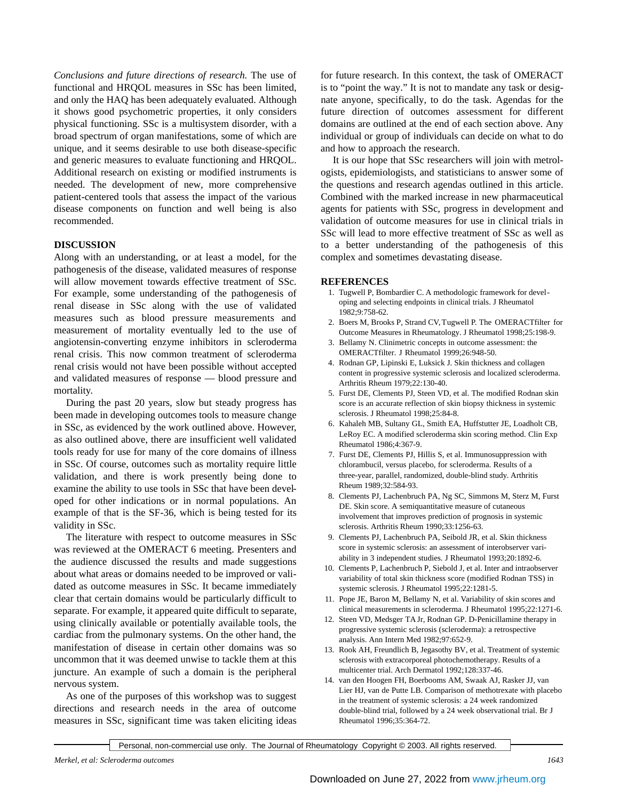*Conclusions and future directions of research.* The use of functional and HRQOL measures in SSc has been limited, and only the HAQ has been adequately evaluated. Although it shows good psychometric properties, it only considers physical functioning. SSc is a multisystem disorder, with a broad spectrum of organ manifestations, some of which are unique, and it seems desirable to use both disease-specific and generic measures to evaluate functioning and HRQOL. Additional research on existing or modified instruments is needed. The development of new, more comprehensive patient-centered tools that assess the impact of the various disease components on function and well being is also recommended.

#### **DISCUSSION**

Along with an understanding, or at least a model, for the pathogenesis of the disease, validated measures of response will allow movement towards effective treatment of SSc. For example, some understanding of the pathogenesis of renal disease in SSc along with the use of validated measures such as blood pressure measurements and measurement of mortality eventually led to the use of angiotensin-converting enzyme inhibitors in scleroderma renal crisis. This now common treatment of scleroderma renal crisis would not have been possible without accepted and validated measures of response — blood pressure and mortality.

During the past 20 years, slow but steady progress has been made in developing outcomes tools to measure change in SSc, as evidenced by the work outlined above. However, as also outlined above, there are insufficient well validated tools ready for use for many of the core domains of illness in SSc. Of course, outcomes such as mortality require little validation, and there is work presently being done to examine the ability to use tools in SSc that have been developed for other indications or in normal populations. An example of that is the SF-36, which is being tested for its validity in SSc.

The literature with respect to outcome measures in SSc was reviewed at the OMERACT 6 meeting. Presenters and the audience discussed the results and made suggestions about what areas or domains needed to be improved or validated as outcome measures in SSc. It became immediately clear that certain domains would be particularly difficult to separate. For example, it appeared quite difficult to separate, using clinically available or potentially available tools, the cardiac from the pulmonary systems. On the other hand, the manifestation of disease in certain other domains was so uncommon that it was deemed unwise to tackle them at this juncture. An example of such a domain is the peripheral nervous system.

As one of the purposes of this workshop was to suggest directions and research needs in the area of outcome measures in SSc, significant time was taken eliciting ideas for future research. In this context, the task of OMERACT is to "point the way." It is not to mandate any task or designate anyone, specifically, to do the task. Agendas for the future direction of outcomes assessment for different domains are outlined at the end of each section above. Any individual or group of individuals can decide on what to do and how to approach the research.

It is our hope that SSc researchers will join with metrologists, epidemiologists, and statisticians to answer some of the questions and research agendas outlined in this article. Combined with the marked increase in new pharmaceutical agents for patients with SSc, progress in development and validation of outcome measures for use in clinical trials in SSc will lead to more effective treatment of SSc as well as to a better understanding of the pathogenesis of this complex and sometimes devastating disease.

#### **REFERENCES**

- 1. Tugwell P, Bombardier C. A methodologic framework for developing and selecting endpoints in clinical trials. J Rheumatol 1982;9:758-62.
- 2. Boers M, Brooks P, Strand CV, Tugwell P. The OMERACTfilter for Outcome Measures in Rheumatology. J Rheumatol 1998;25:198-9.
- 3. Bellamy N. Clinimetric concepts in outcome assessment: the OMERACTfilter. J Rheumatol 1999;26:948-50.
- 4. Rodnan GP, Lipinski E, Luksick J. Skin thickness and collagen content in progressive systemic sclerosis and localized scleroderma. Arthritis Rheum 1979;22:130-40.
- 5. Furst DE, Clements PJ, Steen VD, et al. The modified Rodnan skin score is an accurate reflection of skin biopsy thickness in systemic sclerosis. J Rheumatol 1998;25:84-8.
- 6. Kahaleh MB, Sultany GL, Smith EA, Huffstutter JE, Loadholt CB, LeRoy EC. A modified scleroderma skin scoring method. Clin Exp Rheumatol 1986;4:367-9.
- 7. Furst DE, Clements PJ, Hillis S, et al. Immunosuppression with chlorambucil, versus placebo, for scleroderma. Results of a three-year, parallel, randomized, double-blind study. Arthritis Rheum 1989;32:584-93.
- 8. Clements PJ, Lachenbruch PA, Ng SC, Simmons M, Sterz M, Furst DE. Skin score. A semiquantitative measure of cutaneous involvement that improves prediction of prognosis in systemic sclerosis. Arthritis Rheum 1990;33:1256-63.
- 9. Clements PJ, Lachenbruch PA, Seibold JR, et al. Skin thickness score in systemic sclerosis: an assessment of interobserver variability in 3 independent studies. J Rheumatol 1993;20:1892-6.
- 10. Clements P, Lachenbruch P, Siebold J, et al. Inter and intraobserver variability of total skin thickness score (modified Rodnan TSS) in systemic sclerosis. J Rheumatol 1995;22:1281-5.
- 11. Pope JE, Baron M, Bellamy N, et al. Variability of skin scores and clinical measurements in scleroderma. J Rheumatol 1995;22:1271-6.
- 12. Steen VD, Medsger TA Jr, Rodnan GP. D-Penicillamine therapy in progressive systemic sclerosis (scleroderma): a retrospective analysis. Ann Intern Med 1982;97:652-9.
- 13. Rook AH, Freundlich B, Jegasothy BV, et al. Treatment of systemic sclerosis with extracorporeal photochemotherapy. Results of a multicenter trial. Arch Dermatol 1992;128:337-46.
- 14. van den Hoogen FH, Boerbooms AM, Swaak AJ, Rasker JJ, van Lier HJ, van de Putte LB. Comparison of methotrexate with placebo in the treatment of systemic sclerosis: a 24 week randomized double-blind trial, followed by a 24 week observational trial. Br J Rheumatol 1996;35:364-72.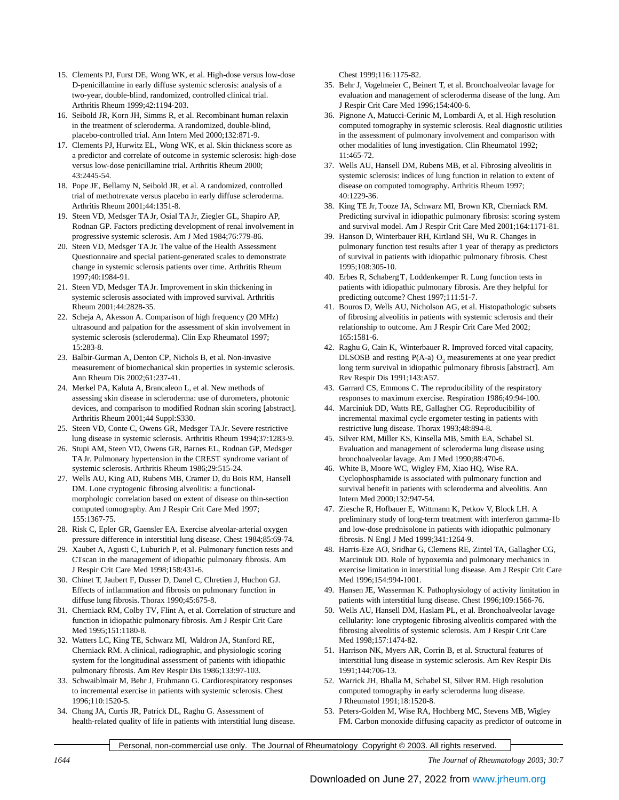- 15. Clements PJ, Furst DE, Wong WK, et al. High-dose versus low-dose D-penicillamine in early diffuse systemic sclerosis: analysis of a two-year, double-blind, randomized, controlled clinical trial. Arthritis Rheum 1999;42:1194-203.
- 16. Seibold JR, Korn JH, Simms R, et al. Recombinant human relaxin in the treatment of scleroderma. A randomized, double-blind, placebo-controlled trial. Ann Intern Med 2000;132:871-9.
- 17. Clements PJ, Hurwitz EL, Wong WK, et al. Skin thickness score as a predictor and correlate of outcome in systemic sclerosis: high-dose versus low-dose penicillamine trial. Arthritis Rheum 2000; 43:2445-54.
- 18. Pope JE, Bellamy N, Seibold JR, et al. A randomized, controlled trial of methotrexate versus placebo in early diffuse scleroderma. Arthritis Rheum 2001;44:1351-8.
- 19. Steen VD, Medsger TA Jr, Osial TA Jr, Ziegler GL, Shapiro AP, Rodnan GP. Factors predicting development of renal involvement in progressive systemic sclerosis. Am J Med 1984;76:779-86.
- 20. Steen VD, Medsger TA Jr. The value of the Health Assessment Questionnaire and special patient-generated scales to demonstrate change in systemic sclerosis patients over time. Arthritis Rheum 1997;40:1984-91.
- 21. Steen VD, Medsger TA Jr. Improvement in skin thickening in systemic sclerosis associated with improved survival. Arthritis Rheum 2001;44:2828-35.
- 22. Scheja A, Akesson A. Comparison of high frequency (20 MHz) ultrasound and palpation for the assessment of skin involvement in systemic sclerosis (scleroderma). Clin Exp Rheumatol 1997; 15:283-8.
- 23. Balbir-Gurman A, Denton CP, Nichols B, et al. Non-invasive measurement of biomechanical skin properties in systemic sclerosis. Ann Rheum Dis 2002;61:237-41.
- 24. Merkel PA, Kaluta A, Brancaleon L, et al. New methods of assessing skin disease in scleroderma: use of durometers, photonic devices, and comparison to modified Rodnan skin scoring [abstract]. Arthritis Rheum 2001;44 Suppl:S330.
- 25. Steen VD, Conte C, Owens GR, Medsger TA Jr. Severe restrictive lung disease in systemic sclerosis. Arthritis Rheum 1994;37:1283-9.
- 26. Stupi AM, Steen VD, Owens GR, Barnes EL, Rodnan GP, Medsger TA Jr. Pulmonary hypertension in the CREST syndrome variant of systemic sclerosis. Arthritis Rheum 1986;29:515-24.
- 27. Wells AU, King AD, Rubens MB, Cramer D, du Bois RM, Hansell DM. Lone cryptogenic fibrosing alveolitis: a functionalmorphologic correlation based on extent of disease on thin-section computed tomography. Am J Respir Crit Care Med 1997; 155:1367-75.
- 28. Risk C, Epler GR, Gaensler EA. Exercise alveolar-arterial oxygen pressure difference in interstitial lung disease. Chest 1984;85:69-74.
- 29. Xaubet A, Agusti C, Luburich P, et al. Pulmonary function tests and CTscan in the management of idiopathic pulmonary fibrosis. Am J Respir Crit Care Med 1998;158:431-6.
- 30. Chinet T, Jaubert F, Dusser D, Danel C, Chretien J, Huchon GJ. Effects of inflammation and fibrosis on pulmonary function in diffuse lung fibrosis. Thorax 1990;45:675-8.
- 31. Cherniack RM, Colby TV, Flint A, et al. Correlation of structure and function in idiopathic pulmonary fibrosis. Am J Respir Crit Care Med 1995;151:1180-8.
- 32. Watters LC, King TE, Schwarz MI, Waldron JA, Stanford RE, Cherniack RM. A clinical, radiographic, and physiologic scoring system for the longitudinal assessment of patients with idiopathic pulmonary fibrosis. Am Rev Respir Dis 1986;133:97-103.
- 33. Schwaiblmair M, Behr J, Fruhmann G. Cardiorespiratory responses to incremental exercise in patients with systemic sclerosis. Chest 1996;110:1520-5.
- 34. Chang JA, Curtis JR, Patrick DL, Raghu G. Assessment of health-related quality of life in patients with interstitial lung disease.

Chest 1999;116:1175-82.

- 35. Behr J, Vogelmeier C, Beinert T, et al. Bronchoalveolar lavage for evaluation and management of scleroderma disease of the lung. Am J Respir Crit Care Med 1996;154:400-6.
- 36. Pignone A, Matucci-Cerinic M, Lombardi A, et al. High resolution computed tomography in systemic sclerosis. Real diagnostic utilities in the assessment of pulmonary involvement and comparison with other modalities of lung investigation. Clin Rheumatol 1992; 11:465-72.
- 37. Wells AU, Hansell DM, Rubens MB, et al. Fibrosing alveolitis in systemic sclerosis: indices of lung function in relation to extent of disease on computed tomography. Arthritis Rheum 1997; 40:1229-36.
- 38. King TE Jr, Tooze JA, Schwarz MI, Brown KR, Cherniack RM. Predicting survival in idiopathic pulmonary fibrosis: scoring system and survival model. Am J Respir Crit Care Med 2001;164:1171-81.
- 39. Hanson D, Winterbauer RH, Kirtland SH, Wu R. Changes in pulmonary function test results after 1 year of therapy as predictors of survival in patients with idiopathic pulmonary fibrosis. Chest 1995;108:305-10.
- 40. Erbes R, Schaberg T, Loddenkemper R. Lung function tests in patients with idiopathic pulmonary fibrosis. Are they helpful for predicting outcome? Chest 1997;111:51-7.
- 41. Bouros D, Wells AU, Nicholson AG, et al. Histopathologic subsets of fibrosing alveolitis in patients with systemic sclerosis and their relationship to outcome. Am J Respir Crit Care Med 2002; 165:1581-6.
- 42. Raghu G, Cain K, Winterbauer R. Improved forced vital capacity, DLSOSB and resting  $P(A-a)$  O<sub>2</sub> measurements at one year predict long term survival in idiopathic pulmonary fibrosis [abstract]. Am Rev Respir Dis 1991;143:A57.
- 43. Garrard CS, Emmons C. The reproducibility of the respiratory responses to maximum exercise. Respiration 1986;49:94-100.
- 44. Marciniuk DD, Watts RE, Gallagher CG. Reproducibility of incremental maximal cycle ergometer testing in patients with restrictive lung disease. Thorax 1993;48:894-8.
- 45. Silver RM, Miller KS, Kinsella MB, Smith EA, Schabel SI. Evaluation and management of scleroderma lung disease using bronchoalveolar lavage. Am J Med 1990;88:470-6.
- 46. White B, Moore WC, Wigley FM, Xiao HQ, Wise RA. Cyclophosphamide is associated with pulmonary function and survival benefit in patients with scleroderma and alveolitis. Ann Intern Med 2000;132:947-54.
- 47. Ziesche R, Hofbauer E, Wittmann K, Petkov V, Block LH. A preliminary study of long-term treatment with interferon gamma-1b and low-dose prednisolone in patients with idiopathic pulmonary fibrosis. N Engl J Med 1999;341:1264-9.
- 48. Harris-Eze AO, Sridhar G, Clemens RE, Zintel TA, Gallagher CG, Marciniuk DD. Role of hypoxemia and pulmonary mechanics in exercise limitation in interstitial lung disease. Am J Respir Crit Care Med 1996;154:994-1001.
- 49. Hansen JE, Wasserman K. Pathophysiology of activity limitation in patients with interstitial lung disease. Chest 1996;109:1566-76.
- 50. Wells AU, Hansell DM, Haslam PL, et al. Bronchoalveolar lavage cellularity: lone cryptogenic fibrosing alveolitis compared with the fibrosing alveolitis of systemic sclerosis. Am J Respir Crit Care Med 1998;157:1474-82.
- 51. Harrison NK, Myers AR, Corrin B, et al. Structural features of interstitial lung disease in systemic sclerosis. Am Rev Respir Dis 1991;144:706-13.
- 52. Warrick JH, Bhalla M, Schabel SI, Silver RM. High resolution computed tomography in early scleroderma lung disease. J Rheumatol 1991;18:1520-8.
- 53. Peters-Golden M, Wise RA, Hochberg MC, Stevens MB, Wigley FM. Carbon monoxide diffusing capacity as predictor of outcome in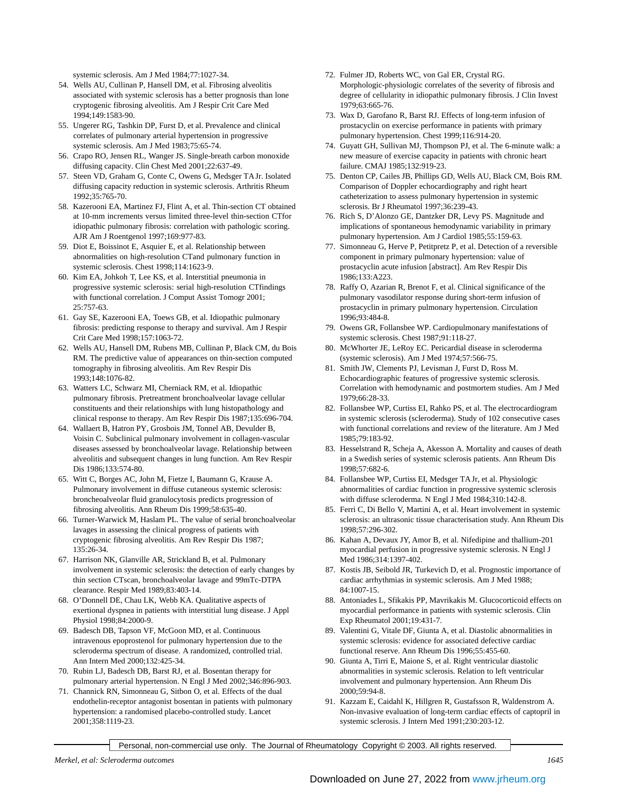systemic sclerosis. Am J Med 1984;77:1027-34.

- 54. Wells AU, Cullinan P, Hansell DM, et al. Fibrosing alveolitis associated with systemic sclerosis has a better prognosis than lone cryptogenic fibrosing alveolitis. Am J Respir Crit Care Med 1994;149:1583-90.
- 55. Ungerer RG, Tashkin DP, Furst D, et al. Prevalence and clinical correlates of pulmonary arterial hypertension in progressive systemic sclerosis. Am J Med 1983;75:65-74.
- 56. Crapo RO, Jensen RL, Wanger JS. Single-breath carbon monoxide diffusing capacity. Clin Chest Med 2001;22:637-49.
- 57. Steen VD, Graham G, Conte C, Owens G, Medsger TA Jr. Isolated diffusing capacity reduction in systemic sclerosis. Arthritis Rheum 1992;35:765-70.
- 58. Kazerooni EA, Martinez FJ, Flint A, et al. Thin-section CT obtained at 10-mm increments versus limited three-level thin-section CTfor idiopathic pulmonary fibrosis: correlation with pathologic scoring. AJR Am J Roentgenol 1997;169:977-83.
- 59. Diot E, Boissinot E, Asquier E, et al. Relationship between abnormalities on high-resolution CTand pulmonary function in systemic sclerosis. Chest 1998;114:1623-9.
- 60. Kim EA, Johkoh T, Lee KS, et al. Interstitial pneumonia in progressive systemic sclerosis: serial high-resolution CTfindings with functional correlation. J Comput Assist Tomogr 2001; 25:757-63.
- 61. Gay SE, Kazerooni EA, Toews GB, et al. Idiopathic pulmonary fibrosis: predicting response to therapy and survival. Am J Respir Crit Care Med 1998;157:1063-72.
- 62. Wells AU, Hansell DM, Rubens MB, Cullinan P, Black CM, du Bois RM. The predictive value of appearances on thin-section computed tomography in fibrosing alveolitis. Am Rev Respir Dis 1993;148:1076-82.
- 63. Watters LC, Schwarz MI, Cherniack RM, et al. Idiopathic pulmonary fibrosis. Pretreatment bronchoalveolar lavage cellular constituents and their relationships with lung histopathology and clinical response to therapy. Am Rev Respir Dis 1987;135:696-704.
- 64. Wallaert B, Hatron PY, Grosbois JM, Tonnel AB, Devulder B, Voisin C. Subclinical pulmonary involvement in collagen-vascular diseases assessed by bronchoalveolar lavage. Relationship between alveolitis and subsequent changes in lung function. Am Rev Respir Dis 1986;133:574-80.
- 65. Witt C, Borges AC, John M, Fietze I, Baumann G, Krause A. Pulmonary involvement in diffuse cutaneous systemic sclerosis: broncheoalveolar fluid granulocytosis predicts progression of fibrosing alveolitis. Ann Rheum Dis 1999;58:635-40.
- 66. Turner-Warwick M, Haslam PL. The value of serial bronchoalveolar lavages in assessing the clinical progress of patients with cryptogenic fibrosing alveolitis. Am Rev Respir Dis 1987;  $135:26-34$
- 67. Harrison NK, Glanville AR, Strickland B, et al. Pulmonary involvement in systemic sclerosis: the detection of early changes by thin section CTscan, bronchoalveolar lavage and 99mTc-DTPA clearance. Respir Med 1989;83:403-14.
- 68. O'Donnell DE, Chau LK, Webb KA. Qualitative aspects of exertional dyspnea in patients with interstitial lung disease. J Appl Physiol 1998;84:2000-9.
- 69. Badesch DB, Tapson VF, McGoon MD, et al. Continuous intravenous epoprostenol for pulmonary hypertension due to the scleroderma spectrum of disease. A randomized, controlled trial. Ann Intern Med 2000;132:425-34.
- 70. Rubin LJ, Badesch DB, Barst RJ, et al. Bosentan therapy for pulmonary arterial hypertension. N Engl J Med 2002;346:896-903.
- 71. Channick RN, Simonneau G, Sitbon O, et al. Effects of the dual endothelin-receptor antagonist bosentan in patients with pulmonary hypertension: a randomised placebo-controlled study. Lancet 2001;358:1119-23.
- 72. Fulmer JD, Roberts WC, von Gal ER, Crystal RG. Morphologic-physiologic correlates of the severity of fibrosis and degree of cellularity in idiopathic pulmonary fibrosis. J Clin Invest 1979;63:665-76.
- 73. Wax D, Garofano R, Barst RJ. Effects of long-term infusion of prostacyclin on exercise performance in patients with primary pulmonary hypertension. Chest 1999;116:914-20.
- 74. Guyatt GH, Sullivan MJ, Thompson PJ, et al. The 6-minute walk: a new measure of exercise capacity in patients with chronic heart failure. CMAJ 1985;132:919-23.
- 75. Denton CP, Cailes JB, Phillips GD, Wells AU, Black CM, Bois RM. Comparison of Doppler echocardiography and right heart catheterization to assess pulmonary hypertension in systemic sclerosis. Br J Rheumatol 1997;36:239-43.
- 76. Rich S, D'Alonzo GE, Dantzker DR, Levy PS. Magnitude and implications of spontaneous hemodynamic variability in primary pulmonary hypertension. Am J Cardiol 1985;55:159-63.
- 77. Simonneau G, Herve P, Petitpretz P, et al. Detection of a reversible component in primary pulmonary hypertension: value of prostacyclin acute infusion [abstract]. Am Rev Respir Dis 1986;133:A223.
- 78. Raffy O, Azarian R, Brenot F, et al. Clinical significance of the pulmonary vasodilator response during short-term infusion of prostacyclin in primary pulmonary hypertension. Circulation 1996;93:484-8.
- 79. Owens GR, Follansbee WP. Cardiopulmonary manifestations of systemic sclerosis. Chest 1987;91:118-27.
- 80. McWhorter JE, LeRoy EC. Pericardial disease in scleroderma (systemic sclerosis). Am J Med 1974;57:566-75.
- 81. Smith JW, Clements PJ, Levisman J, Furst D, Ross M. Echocardiographic features of progressive systemic sclerosis. Correlation with hemodynamic and postmortem studies. Am J Med 1979;66:28-33.
- 82. Follansbee WP, Curtiss EI, Rahko PS, et al. The electrocardiogram in systemic sclerosis (scleroderma). Study of 102 consecutive cases with functional correlations and review of the literature. Am J Med 1985;79:183-92.
- 83. Hesselstrand R, Scheja A, Akesson A. Mortality and causes of death in a Swedish series of systemic sclerosis patients. Ann Rheum Dis 1998;57:682-6.
- 84. Follansbee WP, Curtiss EI, Medsger TA Jr, et al. Physiologic abnormalities of cardiac function in progressive systemic sclerosis with diffuse scleroderma. N Engl J Med 1984;310:142-8.
- 85. Ferri C, Di Bello V, Martini A, et al. Heart involvement in systemic sclerosis: an ultrasonic tissue characterisation study. Ann Rheum Dis 1998;57:296-302.
- 86. Kahan A, Devaux JY, Amor B, et al. Nifedipine and thallium-201 myocardial perfusion in progressive systemic sclerosis. N Engl J Med 1986;314:1397-402.
- 87. Kostis JB, Seibold JR, Turkevich D, et al. Prognostic importance of cardiac arrhythmias in systemic sclerosis. Am J Med 1988; 84:1007-15.
- 88. Antoniades L, Sfikakis PP, Mavrikakis M. Glucocorticoid effects on myocardial performance in patients with systemic sclerosis. Clin Exp Rheumatol 2001;19:431-7.
- 89. Valentini G, Vitale DF, Giunta A, et al. Diastolic abnormalities in systemic sclerosis: evidence for associated defective cardiac functional reserve. Ann Rheum Dis 1996;55:455-60.
- 90. Giunta A, Tirri E, Maione S, et al. Right ventricular diastolic abnormalities in systemic sclerosis. Relation to left ventricular involvement and pulmonary hypertension. Ann Rheum Dis 2000;59:94-8.
- 91. Kazzam E, Caidahl K, Hillgren R, Gustafsson R, Waldenstrom A. Non-invasive evaluation of long-term cardiac effects of captopril in systemic sclerosis. J Intern Med 1991;230:203-12.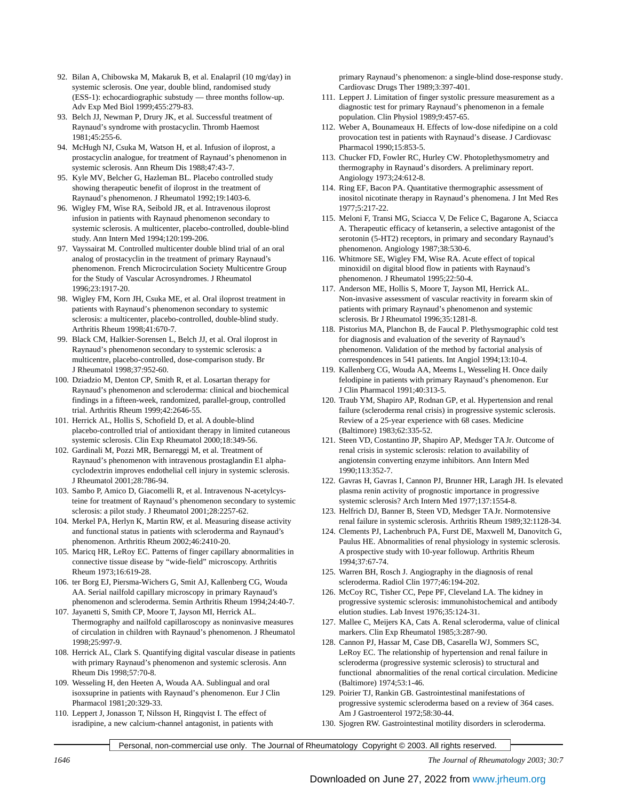- 92. Bilan A, Chibowska M, Makaruk B, et al. Enalapril (10 mg/day) in systemic sclerosis. One year, double blind, randomised study (ESS-1): echocardiographic substudy — three months follow-up. Adv Exp Med Biol 1999;455:279-83.
- 93. Belch JJ, Newman P, Drury JK, et al. Successful treatment of Raynaud's syndrome with prostacyclin. Thromb Haemost 1981;45:255-6.
- 94. McHugh NJ, Csuka M, Watson H, et al. Infusion of iloprost, a prostacyclin analogue, for treatment of Raynaud's phenomenon in systemic sclerosis. Ann Rheum Dis 1988;47:43-7.
- 95. Kyle MV, Belcher G, Hazleman BL. Placebo controlled study showing therapeutic benefit of iloprost in the treatment of Raynaud's phenomenon. J Rheumatol 1992;19:1403-6.
- 96. Wigley FM, Wise RA, Seibold JR, et al. Intravenous iloprost infusion in patients with Raynaud phenomenon secondary to systemic sclerosis. A multicenter, placebo-controlled, double-blind study. Ann Intern Med 1994;120:199-206.
- 97. Vayssairat M. Controlled multicenter double blind trial of an oral analog of prostacyclin in the treatment of primary Raynaud's phenomenon. French Microcirculation Society Multicentre Group for the Study of Vascular Acrosyndromes. J Rheumatol 1996;23:1917-20.
- 98. Wigley FM, Korn JH, Csuka ME, et al. Oral iloprost treatment in patients with Raynaud's phenomenon secondary to systemic sclerosis: a multicenter, placebo-controlled, double-blind study. Arthritis Rheum 1998;41:670-7.
- 99. Black CM, Halkier-Sorensen L, Belch JJ, et al. Oral iloprost in Raynaud's phenomenon secondary to systemic sclerosis: a multicentre, placebo-controlled, dose-comparison study. Br J Rheumatol 1998;37:952-60.
- 100. Dziadzio M, Denton CP, Smith R, et al. Losartan therapy for Raynaud's phenomenon and scleroderma: clinical and biochemical findings in a fifteen-week, randomized, parallel-group, controlled trial. Arthritis Rheum 1999;42:2646-55.
- 101. Herrick AL, Hollis S, Schofield D, et al. A double-blind placebo-controlled trial of antioxidant therapy in limited cutaneous systemic sclerosis. Clin Exp Rheumatol 2000;18:349-56.
- 102. Gardinali M, Pozzi MR, Bernareggi M, et al. Treatment of Raynaud's phenomenon with intravenous prostaglandin E1 alphacyclodextrin improves endothelial cell injury in systemic sclerosis. J Rheumatol 2001;28:786-94.
- 103. Sambo P, Amico D, Giacomelli R, et al. Intravenous N-acetylcysteine for treatment of Raynaud's phenomenon secondary to systemic sclerosis: a pilot study. J Rheumatol 2001;28:2257-62.
- 104. Merkel PA, Herlyn K, Martin RW, et al. Measuring disease activity and functional status in patients with scleroderma and Raynaud's phenomenon. Arthritis Rheum 2002;46:2410-20.
- 105. Maricq HR, LeRoy EC. Patterns of finger capillary abnormalities in connective tissue disease by "wide-field" microscopy. Arthritis Rheum 1973;16:619-28.
- 106. ter Borg EJ, Piersma-Wichers G, Smit AJ, Kallenberg CG, Wouda AA. Serial nailfold capillary microscopy in primary Raynaud's phenomenon and scleroderma. Semin Arthritis Rheum 1994;24:40-7.
- 107. Jayanetti S, Smith CP, Moore T, Jayson MI, Herrick AL. Thermography and nailfold capillaroscopy as noninvasive measures of circulation in children with Raynaud's phenomenon. J Rheumatol 1998;25:997-9.
- 108. Herrick AL, Clark S. Quantifying digital vascular disease in patients with primary Raynaud's phenomenon and systemic sclerosis. Ann Rheum Dis 1998;57:70-8.
- 109. Wesseling H, den Heeten A, Wouda AA. Sublingual and oral isoxsuprine in patients with Raynaud's phenomenon. Eur J Clin Pharmacol 1981;20:329-33.
- 110. Leppert J, Jonasson T, Nilsson H, Ringqvist I. The effect of isradipine, a new calcium-channel antagonist, in patients with

primary Raynaud's phenomenon: a single-blind dose-response study. Cardiovasc Drugs Ther 1989;3:397-401.

- 111. Leppert J. Limitation of finger systolic pressure measurement as a diagnostic test for primary Raynaud's phenomenon in a female population. Clin Physiol 1989;9:457-65.
- 112. Weber A, Bounameaux H. Effects of low-dose nifedipine on a cold provocation test in patients with Raynaud's disease. J Cardiovasc Pharmacol 1990;15:853-5.
- 113. Chucker FD, Fowler RC, Hurley CW. Photoplethysmometry and thermography in Raynaud's disorders. A preliminary report. Angiology 1973;24:612-8.
- 114. Ring EF, Bacon PA. Quantitative thermographic assessment of inositol nicotinate therapy in Raynaud's phenomena. J Int Med Res 1977;5:217-22.
- 115. Meloni F, Transi MG, Sciacca V, De Felice C, Bagarone A, Sciacca A. Therapeutic efficacy of ketanserin, a selective antagonist of the serotonin (5-HT2) receptors, in primary and secondary Raynaud's phenomenon. Angiology 1987;38:530-6.
- 116. Whitmore SE, Wigley FM, Wise RA. Acute effect of topical minoxidil on digital blood flow in patients with Raynaud's phenomenon. J Rheumatol 1995;22:50-4.
- 117. Anderson ME, Hollis S, Moore T, Jayson MI, Herrick AL. Non-invasive assessment of vascular reactivity in forearm skin of patients with primary Raynaud's phenomenon and systemic sclerosis. Br J Rheumatol 1996;35:1281-8.
- 118. Pistorius MA, Planchon B, de Faucal P. Plethysmographic cold test for diagnosis and evaluation of the severity of Raynaud's phenomenon. Validation of the method by factorial analysis of correspondences in 541 patients. Int Angiol 1994;13:10-4.
- 119. Kallenberg CG, Wouda AA, Meems L, Wesseling H. Once daily felodipine in patients with primary Raynaud's phenomenon. Eur J Clin Pharmacol 1991;40:313-5.
- 120. Traub YM, Shapiro AP, Rodnan GP, et al. Hypertension and renal failure (scleroderma renal crisis) in progressive systemic sclerosis. Review of a 25-year experience with 68 cases. Medicine (Baltimore) 1983;62:335-52.
- 121. Steen VD, Costantino JP, Shapiro AP, Medsger TA Jr. Outcome of renal crisis in systemic sclerosis: relation to availability of angiotensin converting enzyme inhibitors. Ann Intern Med 1990;113:352-7.
- 122. Gavras H, Gavras I, Cannon PJ, Brunner HR, Laragh JH. Is elevated plasma renin activity of prognostic importance in progressive systemic sclerosis? Arch Intern Med 1977;137:1554-8.
- 123. Helfrich DJ, Banner B, Steen VD, Medsger TA Jr. Normotensive renal failure in systemic sclerosis. Arthritis Rheum 1989;32:1128-34.
- 124. Clements PJ, Lachenbruch PA, Furst DE, Maxwell M, Danovitch G, Paulus HE. Abnormalities of renal physiology in systemic sclerosis. A prospective study with 10-year followup. Arthritis Rheum 1994;37:67-74.
- 125. Warren BH, Rosch J. Angiography in the diagnosis of renal scleroderma. Radiol Clin 1977;46:194-202.
- 126. McCoy RC, Tisher CC, Pepe PF, Cleveland LA. The kidney in progressive systemic sclerosis: immunohistochemical and antibody elution studies. Lab Invest 1976;35:124-31.
- 127. Mallee C, Meijers KA, Cats A. Renal scleroderma, value of clinical markers. Clin Exp Rheumatol 1985;3:287-90.
- 128. Cannon PJ, Hassar M, Case DB, Casarella WJ, Sommers SC, LeRoy EC. The relationship of hypertension and renal failure in scleroderma (progressive systemic sclerosis) to structural and functional abnormalities of the renal cortical circulation. Medicine (Baltimore) 1974;53:1-46.
- 129. Poirier TJ, Rankin GB. Gastrointestinal manifestations of progressive systemic scleroderma based on a review of 364 cases. Am J Gastroenterol 1972;58:30-44.
- 130. Sjogren RW. Gastrointestinal motility disorders in scleroderma.

Personal, non-commercial use only. The Journal of Rheumatology Copyright © 2003. All rights reserved.

*1646 The Journal of Rheumatology 2003; 30:7*